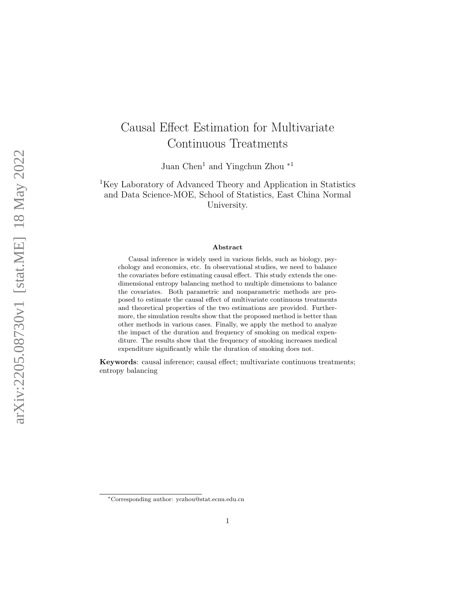# Causal Effect Estimation for Multivariate Continuous Treatments

Juan Chen<sup>1</sup> and Yingchun Zhou  $*1$ 

<sup>1</sup>Key Laboratory of Advanced Theory and Application in Statistics and Data Science-MOE, School of Statistics, East China Normal University.

#### Abstract

Causal inference is widely used in various fields, such as biology, psychology and economics, etc. In observational studies, we need to balance the covariates before estimating causal effect. This study extends the onedimensional entropy balancing method to multiple dimensions to balance the covariates. Both parametric and nonparametric methods are proposed to estimate the causal effect of multivariate continuous treatments and theoretical properties of the two estimations are provided. Furthermore, the simulation results show that the proposed method is better than other methods in various cases. Finally, we apply the method to analyze the impact of the duration and frequency of smoking on medical expenditure. The results show that the frequency of smoking increases medical expenditure significantly while the duration of smoking does not.

Keywords: causal inference; causal effect; multivariate continuous treatments; entropy balancing

<sup>∗</sup>Corresponding author: yczhou@stat.ecnu.edu.cn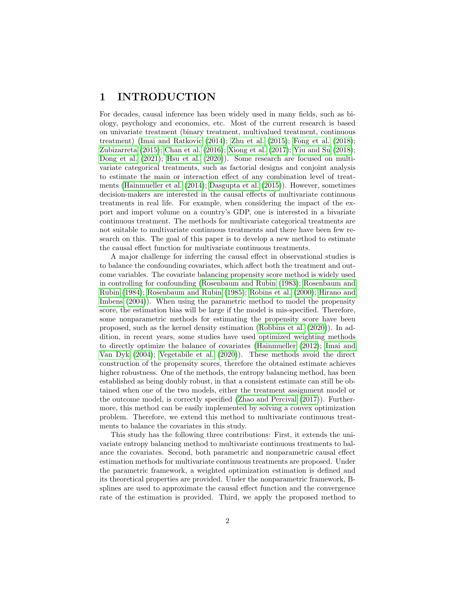# 1 INTRODUCTION

For decades, causal inference has been widely used in many fields, such as biology, psychology and economics, etc. Most of the current research is based on univariate treatment (binary treatment, multivalued treatment, continuous treatment) [\(Imai and Ratkovic](#page-17-0) [\(2014\)](#page-17-0); [Zhu et al.](#page-18-0) [\(2015\)](#page-18-0); [Fong et al.](#page-16-0) [\(2018\)](#page-16-0); [Zubizarreta](#page-18-1) [\(2015\)](#page-18-1); [Chan et al.](#page-16-1) [\(2016\)](#page-16-1); [Xiong et al.](#page-18-2) [\(2017\)](#page-18-2); [Yiu and Su](#page-18-3) [\(2018\)](#page-18-3); [Dong et al.](#page-16-2)  $(2021)$ ; [Hsu et al.](#page-16-3)  $(2020)$ ). Some research are focused on multivariate categorical treatments, such as factorial designs and conjoint analysis to estimate the main or interaction effect of any combination level of treatments [\(Hainmueller et al.](#page-16-4) [\(2014\)](#page-16-4); [Dasgupta et al.](#page-16-5) [\(2015\)](#page-16-5)). However, sometimes decision-makers are interested in the causal effects of multivariate continuous treatments in real life. For example, when considering the impact of the export and import volume on a country's GDP, one is interested in a bivariate continuous treatment. The methods for multivariate categorical treatments are not suitable to multivariate continuous treatments and there have been few research on this. The goal of this paper is to develop a new method to estimate the causal effect function for multivariate continuous treatments.

A major challenge for inferring the causal effect in observational studies is to balance the confounding covariates, which affect both the treatment and outcome variables. The covariate balancing propensity score method is widely used in controlling for confounding [\(Rosenbaum and Rubin](#page-17-1) [\(1983\)](#page-17-1); [Rosenbaum and](#page-17-2) [Rubin](#page-17-2) [\(1984\)](#page-17-2); [Rosenbaum and Rubin](#page-17-3) [\(1985\)](#page-17-3); [Robins et al.](#page-17-4) [\(2000\)](#page-17-4); [Hirano and](#page-16-6) [Imbens](#page-16-6) [\(2004\)](#page-16-6)). When using the parametric method to model the propensity score, the estimation bias will be large if the model is mis-specified. Therefore, some nonparametric methods for estimating the propensity score have been proposed, such as the kernel density estimation [\(Robbins et al.](#page-17-5) [\(2020\)](#page-17-5)). In addition, in recent years, some studies have used optimized weighting methods to directly optimize the balance of covariates [\(Hainmueller](#page-16-7) [\(2012\)](#page-16-7); [Imai and](#page-17-6) [Van Dyk](#page-17-6) [\(2004\)](#page-17-6); [Vegetabile et al.](#page-18-4) [\(2020\)](#page-18-4)). These methods avoid the direct construction of the propensity scores, therefore the obtained estimate achieves higher robustness. One of the methods, the entropy balancing method, has been established as being doubly robust, in that a consistent estimate can still be obtained when one of the two models, either the treatment assignment model or the outcome model, is correctly specified [\(Zhao and Percival](#page-18-5) [\(2017\)](#page-18-5)). Furthermore, this method can be easily implemented by solving a convex optimization problem. Therefore, we extend this method to multivariate continuous treatments to balance the covariates in this study.

This study has the following three contributions: First, it extends the univariate entropy balancing method to multivariate continuous treatments to balance the covariates. Second, both parametric and nonparametric causal effect estimation methods for multivariate continuous treatments are proposed. Under the parametric framework, a weighted optimization estimation is defined and its theoretical properties are provided. Under the nonparametric framework, Bsplines are used to approximate the causal effect function and the convergence rate of the estimation is provided. Third, we apply the proposed method to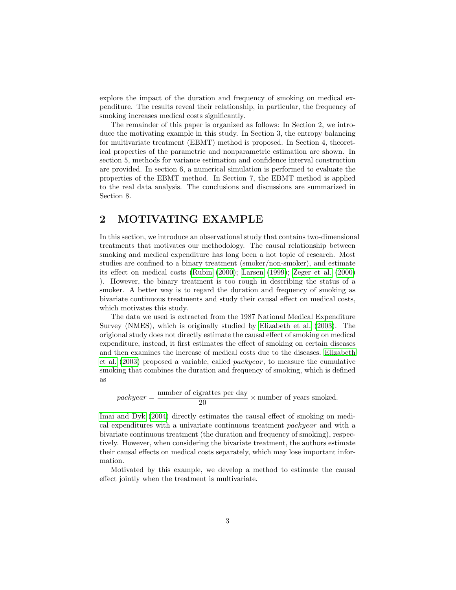explore the impact of the duration and frequency of smoking on medical expenditure. The results reveal their relationship, in particular, the frequency of smoking increases medical costs significantly.

The remainder of this paper is organized as follows: In Section 2, we introduce the motivating example in this study. In Section 3, the entropy balancing for multivariate treatment (EBMT) method is proposed. In Section 4, theoretical properties of the parametric and nonparametric estimation are shown. In section 5, methods for variance estimation and confidence interval construction are provided. In section 6, a numerical simulation is performed to evaluate the properties of the EBMT method. In Section 7, the EBMT method is applied to the real data analysis. The conclusions and discussions are summarized in Section 8.

# 2 MOTIVATING EXAMPLE

In this section, we introduce an observational study that contains two-dimensional treatments that motivates our methodology. The causal relationship between smoking and medical expenditure has long been a hot topic of research. Most studies are confined to a binary treatment (smoker/non-smoker), and estimate its effect on medical costs [\(Rubin](#page-18-6) [\(2000\)](#page-18-6); [Larsen](#page-17-7) [\(1999\)](#page-17-7); [Zeger et al.](#page-18-7) [\(2000\)](#page-18-7) ). However, the binary treatment is too rough in describing the status of a smoker. A better way is to regard the duration and frequency of smoking as bivariate continuous treatments and study their causal effect on medical costs, which motivates this study.

The data we used is extracted from the 1987 National Medical Expenditure Survey (NMES), which is originally studied by [Elizabeth et al.](#page-16-8) [\(2003\)](#page-16-8). The origional study does not directly estimate the causal effect of smoking on medical expenditure, instead, it first estimates the effect of smoking on certain diseases and then examines the increase of medical costs due to the diseases. [Elizabeth](#page-16-8) [et al.](#page-16-8) [\(2003\)](#page-16-8) proposed a variable, called packyear, to measure the cumulative smoking that combines the duration and frequency of smoking, which is defined as

 $package = \frac{\text{number of eigen}\times\text{per day}}{20}$  $\frac{20}{20}$  × number of years smoked.

[Imai and Dyk](#page-17-8) [\(2004\)](#page-17-8) directly estimates the causal effect of smoking on medical expenditures with a univariate continuous treatment packyear and with a bivariate continuous treatment (the duration and frequency of smoking), respectively. However, when considering the bivariate treatment, the authors estimate their causal effects on medical costs separately, which may lose important information.

Motivated by this example, we develop a method to estimate the causal effect jointly when the treatment is multivariate.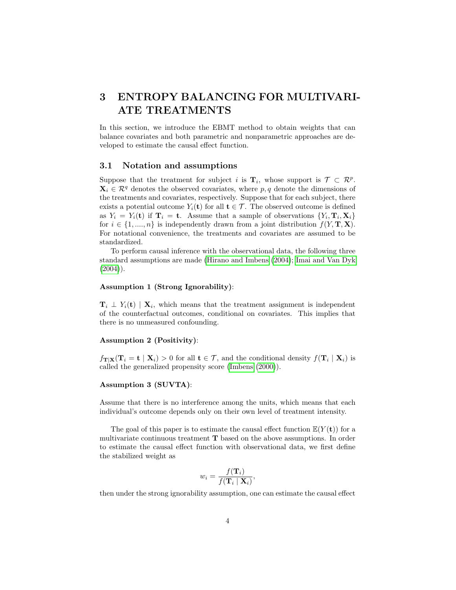# 3 ENTROPY BALANCING FOR MULTIVARI-ATE TREATMENTS

In this section, we introduce the EBMT method to obtain weights that can balance covariates and both parametric and nonparametric approaches are developed to estimate the causal effect function.

## 3.1 Notation and assumptions

Suppose that the treatment for subject i is  $\mathbf{T}_i$ , whose support is  $\mathcal{T} \subset \mathcal{R}^p$ .  $\mathbf{X}_i \in \mathcal{R}^q$  denotes the observed covariates, where p, q denote the dimensions of the treatments and covariates, respectively. Suppose that for each subject, there exists a potential outcome  $Y_i(\mathbf{t})$  for all  $\mathbf{t} \in \mathcal{T}$ . The observed outcome is defined as  $Y_i = Y_i(t)$  if  $\mathbf{T}_i = \mathbf{t}$ . Assume that a sample of observations  $\{Y_i, \mathbf{T}_i, \mathbf{X}_i\}$ for  $i \in \{1, ..., n\}$  is independently drawn from a joint distribution  $f(Y, \mathbf{T}, \mathbf{X})$ . For notational convenience, the treatments and covariates are assumed to be standardized.

To perform causal inference with the observational data, the following three standard assumptions are made [\(Hirano and Imbens](#page-16-6) [\(2004\)](#page-16-6); [Imai and Van Dyk](#page-17-6)  $(2004)$ .

## Assumption 1 (Strong Ignorability):

 $\mathbf{T}_i \perp Y_i(\mathbf{t}) \mid \mathbf{X}_i$ , which means that the treatment assignment is independent of the counterfactual outcomes, conditional on covariates. This implies that there is no unmeasured confounding.

### Assumption 2 (Positivity):

 $f_{\mathbf{T}|\mathbf{X}}(\mathbf{T}_i = \mathbf{t} | \mathbf{X}_i) > 0$  for all  $\mathbf{t} \in \mathcal{T}$ , and the conditional density  $f(\mathbf{T}_i | \mathbf{X}_i)$  is called the generalized propensity score [\(Imbens](#page-17-9) [\(2000\)](#page-17-9)).

### Assumption 3 (SUVTA):

Assume that there is no interference among the units, which means that each individual's outcome depends only on their own level of treatment intensity.

The goal of this paper is to estimate the causal effect function  $\mathbb{E}(Y(\mathbf{t}))$  for a multivariate continuous treatment T based on the above assumptions. In order to estimate the causal effect function with observational data, we first define the stabilized weight as

$$
w_i = \frac{f(\mathbf{T}_i)}{f(\mathbf{T}_i \mid \mathbf{X}_i)},
$$

then under the strong ignorability assumption, one can estimate the causal effect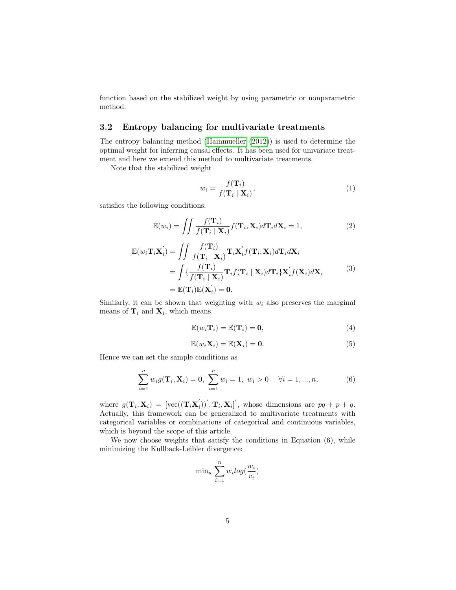function based on the stabilized weight by using parametric or nonparametric method.

## 3.2 Entropy balancing for multivariate treatments

The entropy balancing method [\(Hainmueller](#page-16-7) [\(2012\)](#page-16-7)) is used to determine the optimal weight for inferring causal effects. It has been used for univariate treatment and here we extend this method to multivariate treatments.

Note that the stabilized weight

$$
w_i = \frac{f(\mathbf{T}_i)}{f(\mathbf{T}_i \mid \mathbf{X}_i)},\tag{1}
$$

satisfies the following conditions:

$$
\mathbb{E}(w_i) = \iint \frac{f(\mathbf{T}_i)}{f(\mathbf{T}_i \mid \mathbf{X}_i)} f(\mathbf{T}_i, \mathbf{X}_i) d\mathbf{T}_i d\mathbf{X}_i = 1,
$$
\n(2)

$$
\mathbb{E}(w_i \mathbf{T}_i \mathbf{X}_i') = \iint \frac{f(\mathbf{T}_i)}{f(\mathbf{T}_i \mid \mathbf{X}_i)} \mathbf{T}_i \mathbf{X}_i' f(\mathbf{T}_i, \mathbf{X}_i) d\mathbf{T}_i d\mathbf{X}_i \n= \int \{ \frac{f(\mathbf{T}_i)}{f(\mathbf{T}_i \mid \mathbf{X}_i)} \mathbf{T}_i f(\mathbf{T}_i \mid \mathbf{X}_i) d\mathbf{T}_i \} \mathbf{X}_i' f(\mathbf{X}_i) d\mathbf{X}_i \n= \mathbb{E}(\mathbf{T}_i) \mathbb{E}(\mathbf{X}_i') = \mathbf{0}.
$$
\n(3)

Similarly, it can be shown that weighting with  $w_i$  also preserves the marginal means of  $\mathbf{T}_i$  and  $\mathbf{X}_i$ , which means

$$
\mathbb{E}(w_i \mathbf{T}_i) = \mathbb{E}(\mathbf{T}_i) = \mathbf{0},\tag{4}
$$

$$
\mathbb{E}(w_i \mathbf{X}_i) = \mathbb{E}(\mathbf{X}_i) = \mathbf{0}.\tag{5}
$$

Hence we can set the sample conditions as

$$
\sum_{i=1}^{n} w_i g(\mathbf{T}_i, \mathbf{X}_i) = \mathbf{0}, \ \sum_{i=1}^{n} w_i = 1, \ w_i > 0 \quad \forall i = 1, ..., n,
$$
 (6)

where  $g(\mathbf{T}_i, \mathbf{X}_i) = [\text{vec}((\mathbf{T}_i \mathbf{X}_i^{'})$  $\mathbf{I}_{i}^{'}$ ) $\mathbf{I}_{i}^{'}$ ,  $\mathbf{T}_{i}$ ,  $\mathbf{X}_{i}$  $\mathbf{I}_{i}^{'}$ , whose dimensions are  $pq + p + q$ . Actually, this framework can be generalized to multivariate treatments with categorical variables or combinations of categorical and continuous variables, which is beyond the scope of this article.

We now choose weights that satisfy the conditions in Equation (6), while minimizing the Kullback-Leibler divergence:

$$
\min_{w} \sum_{i=1}^{n} w_i log(\frac{w_i}{v_i})
$$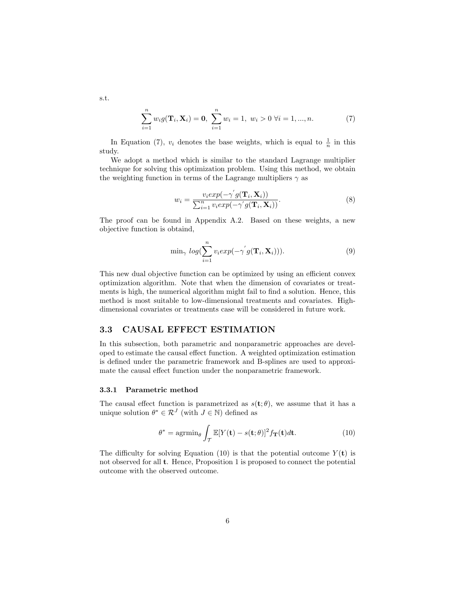$$
\sum_{i=1}^{n} w_i g(\mathbf{T}_i, \mathbf{X}_i) = \mathbf{0}, \ \sum_{i=1}^{n} w_i = 1, \ w_i > 0 \ \forall i = 1, ..., n. \tag{7}
$$

In Equation (7),  $v_i$  denotes the base weights, which is equal to  $\frac{1}{n}$  in this study.

We adopt a method which is similar to the standard Lagrange multiplier technique for solving this optimization problem. Using this method, we obtain the weighting function in terms of the Lagrange multipliers  $\gamma$  as

$$
w_i = \frac{v_i exp(-\gamma^{'} g(\mathbf{T}_i, \mathbf{X}_i))}{\sum_{i=1}^n v_i exp(-\gamma^{'} g(\mathbf{T}_i, \mathbf{X}_i))}.
$$
\n(8)

The proof can be found in Appendix A.2. Based on these weights, a new objective function is obtaind,

$$
\min_{\gamma} log(\sum_{i=1}^{n} v_i exp(-\gamma^{'} g(\mathbf{T}_i, \mathbf{X}_i))).
$$
\n(9)

This new dual objective function can be optimized by using an efficient convex optimization algorithm. Note that when the dimension of covariates or treatments is high, the numerical algorithm might fail to find a solution. Hence, this method is most suitable to low-dimensional treatments and covariates. Highdimensional covariates or treatments case will be considered in future work.

## 3.3 CAUSAL EFFECT ESTIMATION

In this subsection, both parametric and nonparametric approaches are developed to estimate the causal effect function. A weighted optimization estimation is defined under the parametric framework and B-splines are used to approximate the causal effect function under the nonparametric framework.

#### 3.3.1 Parametric method

The causal effect function is parametrized as  $s(t; \theta)$ , we assume that it has a unique solution  $\theta^* \in \mathcal{R}^J$  (with  $J \in \mathbb{N}$ ) defined as

$$
\theta^* = \operatorname{agrmin}_{\theta} \int_{\mathcal{T}} \mathbb{E}[Y(\mathbf{t}) - s(\mathbf{t}; \theta)]^2 f_{\mathbf{T}}(\mathbf{t}) d\mathbf{t}.
$$
 (10)

The difficulty for solving Equation (10) is that the potential outcome  $Y(t)$  is not observed for all t. Hence, Proposition 1 is proposed to connect the potential outcome with the observed outcome.

s.t.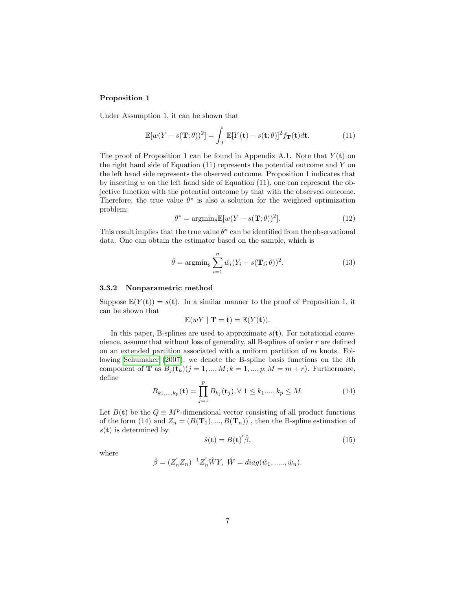### Proposition 1

Under Assumption 1, it can be shown that

$$
\mathbb{E}[w(Y - s(\mathbf{T}; \theta))^2] = \int_{\mathcal{T}} \mathbb{E}[Y(\mathbf{t}) - s(\mathbf{t}; \theta)]^2 f_{\mathbf{T}}(\mathbf{t}) d\mathbf{t}.
$$
 (11)

The proof of Proposition 1 can be found in Appendix A.1. Note that  $Y(t)$  on the right hand side of Equation (11) represents the potential outcome and Y on the left hand side represents the observed outcome. Proposition 1 indicates that by inserting w on the left hand side of Equation  $(11)$ , one can represent the objective function with the potential outcome by that with the observed outcome. Therefore, the true value  $\theta^*$  is also a solution for the weighted optimization problem:

$$
\theta^* = \operatorname{argmin}_{\theta} \mathbb{E}[w(Y - s(\mathbf{T}; \theta))^2].
$$
\n(12)

This result implies that the true value  $\theta^*$  can be identified from the observational data. One can obtain the estimator based on the sample, which is

$$
\hat{\theta} = \operatorname{argmin}_{\theta} \sum_{i=1}^{n} \hat{w}_i (Y_i - s(\mathbf{T}_i; \theta))^2.
$$
 (13)

#### 3.3.2 Nonparametric method

Suppose  $\mathbb{E}(Y(\mathbf{t})) = s(\mathbf{t})$ . In a similar manner to the proof of Proposition 1, it can be shown that

$$
\mathbb{E}(wY \mid \mathbf{T} = \mathbf{t}) = \mathbb{E}(Y(\mathbf{t})).
$$

In this paper, B-splines are used to approximate  $s(t)$ . For notational convenience, assume that without loss of generality, all B-splines of order  $r$  are defined on an extended partition associated with a uniform partition of  $m$  knots. Following [Schumaker](#page-18-8) [\(2007\)](#page-18-8), we denote the B-spline basis functions on the ith component of **T** as  $B_i(\mathbf{t}_k)$   $(j = 1, ..., M; k = 1, ..., p; M = m + r)$ . Furthermore, define

$$
B_{k_1,\dots,k_p}(\mathbf{t}) = \prod_{j=1}^p B_{k_j}(\mathbf{t}_j), \forall 1 \le k_1,\dots,k_p \le M.
$$
 (14)

Let  $B(t)$  be the  $Q \equiv M^p$ -dimensional vector consisting of all product functions of the form (14) and  $Z_n = (B(\mathbf{T}_1), ..., B(\mathbf{T}_n))'$ , then the B-spline estimation of  $s(t)$  is determined by

$$
\hat{s}(\mathbf{t}) = B(\mathbf{t})' \hat{\beta},\tag{15}
$$

where

$$
\hat{\beta} = (Z_n^{'} Z_n)^{-1} Z_n^{'} \hat{W} Y, \ \hat{W} = diag(\hat{w}_1, \dots, \hat{w}_n).
$$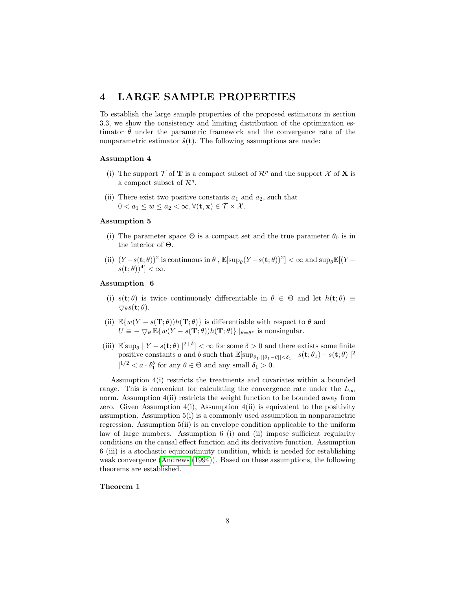## 4 LARGE SAMPLE PROPERTIES

To establish the large sample properties of the proposed estimators in section 3.3, we show the consistency and limiting distribution of the optimization estimator  $\hat{\theta}$  under the parametric framework and the convergence rate of the nonparametric estimator  $\hat{s}(\mathbf{t})$ . The following assumptions are made:

## Assumption 4

- (i) The support  $\mathcal T$  of **T** is a compact subset of  $\mathcal R^p$  and the support  $\mathcal X$  of **X** is a compact subset of  $\mathcal{R}^q$ .
- (ii) There exist two positive constants  $a_1$  and  $a_2$ , such that  $0 < a_1 \leq w \leq a_2 < \infty, \forall (\mathbf{t}, \mathbf{x}) \in \mathcal{T} \times \mathcal{X}.$

### Assumption 5

- (i) The parameter space  $\Theta$  is a compact set and the true parameter  $\theta_0$  is in the interior of Θ.
- (ii)  $(Y s(t; \theta))^2$  is continuous in  $\theta$ ,  $\mathbb{E}[\sup_{\theta}(Y s(t; \theta))^2] < \infty$  and  $\sup_{\theta} \mathbb{E}[(Y s(t; \theta))^2]$  $s(\mathbf{t};\theta))^4$  <  $\infty$ .

### Assumption 6

- (i)  $s(t; \theta)$  is twice continuously differentiable in  $\theta \in \Theta$  and let  $h(t; \theta) \equiv$  $\bigtriangledown_{\theta} s(\mathbf{t};\theta).$
- (ii)  $\mathbb{E}\{w(Y-s(\mathbf{T};\theta))h(\mathbf{T};\theta)\}\$ is differentiable with respect to  $\theta$  and  $U \equiv -\bigtriangledown_{\theta} \mathbb{E}\{w(Y-s(\mathbf{T};\theta))h(\mathbf{T};\theta)\}\mid_{\theta=\theta^*}$  is nonsingular.
- (iii)  $\mathbb{E}[\sup_{\theta} | Y s(t; \theta) |^{2+\delta}] < \infty$  for some  $\delta > 0$  and there extists some finite positive constants a and b such that  $\mathbb{E}[\sup_{\theta_1:||\theta_1-\theta||<\delta_1}|s(\mathbf{t};\theta_1)-s(\mathbf{t};\theta)|^2]$  $]^{1/2} < a \cdot \delta_1^b$  for any  $\theta \in \Theta$  and any small  $\delta_1 > 0$ .

Assumption 4(i) restricts the treatments and covariates within a bounded range. This is convenient for calculating the convergence rate under the  $L_{\infty}$ norm. Assumption 4(ii) restricts the weight function to be bounded away from zero. Given Assumption  $4(i)$ , Assumption  $4(ii)$  is equivalent to the positivity assumption. Assumption 5(i) is a commonly used assumption in nonparametric regression. Assumption 5(ii) is an envelope condition applicable to the uniform law of large numbers. Assumption 6 (i) and (ii) impose sufficient regularity conditions on the causal effect function and its derivative function. Assumption 6 (iii) is a stochastic equicontinuity condition, which is needed for establishing weak convergence [\(Andrews](#page-16-9) [\(1994\)](#page-16-9)). Based on these assumptions, the following theorems are established.

### Theorem 1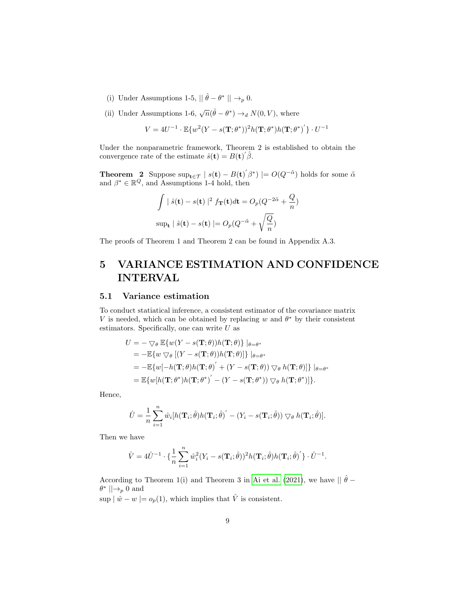- (i) Under Assumptions 1-5,  $\|\hat{\theta} \theta^*\| \rightarrow_p 0$ .
- (ii) Under Assumptions 1-6,  $\sqrt{n}(\hat{\theta} \theta^*) \rightarrow_d N(0, V)$ , where

$$
V = 4U^{-1} \cdot \mathbb{E}\{w^2(Y - s(\mathbf{T}; \theta^*))^2 h(\mathbf{T}; \theta^*) h(\mathbf{T}; \theta^*)'\} \cdot U^{-1}
$$

Under the nonparametric framework, Theorem 2 is established to obtain the convergence rate of the estimate  $\hat{s}(t) = B(t)^{'}\hat{\beta}$ .

**Theorem** 2 Suppose  $\sup_{t \in \mathcal{T}} | s(t) - B(t)^{'} \beta^* | = O(Q^{-\tilde{\alpha}})$  holds for some  $\tilde{\alpha}$ and  $\beta^* \in \mathbb{R}^Q$ , and Assumptions 1-4 hold, then

$$
\int |\hat{s}(\mathbf{t}) - s(\mathbf{t})|^2 f_{\mathbf{T}}(\mathbf{t}) d\mathbf{t} = O_p(Q^{-2\tilde{\alpha}} + \frac{Q}{n})
$$
  
sup<sub>**t**</sub>  $|\hat{s}(\mathbf{t}) - s(\mathbf{t})| = O_p(Q^{-\tilde{\alpha}} + \sqrt{\frac{Q}{n}})$ 

The proofs of Theorem 1 and Theorem 2 can be found in Appendix A.3.

# 5 VARIANCE ESTIMATION AND CONFIDENCE INTERVAL

## 5.1 Variance estimation

To conduct statiatical inference, a consistent estimator of the covariance matrix V is needed, which can be obtained by replacing w and  $\theta^*$  by their consistent estimators. Specifically, one can write  $U$  as

$$
U = -\nabla_{\theta} \mathbb{E}\{w(Y - s(\mathbf{T}; \theta))h(\mathbf{T}; \theta)\} |_{\theta = \theta^*}
$$
  
=  $-\mathbb{E}\{w \nabla_{\theta} [(Y - s(\mathbf{T}; \theta))h(\mathbf{T}; \theta)]\} |_{\theta = \theta^*}$   
=  $-\mathbb{E}\{w[-h(\mathbf{T}; \theta)h(\mathbf{T}; \theta)' + (Y - s(\mathbf{T}; \theta)) \nabla_{\theta} h(\mathbf{T}; \theta)]\} |_{\theta = \theta^*}$   
=  $\mathbb{E}\{w[h(\mathbf{T}; \theta^*)h(\mathbf{T}; \theta^*)' - (Y - s(\mathbf{T}; \theta^*)) \nabla_{\theta} h(\mathbf{T}; \theta^*)]\}.$ 

Hence,

$$
\hat{U} = \frac{1}{n} \sum_{i=1}^{n} \hat{w}_i[h(\mathbf{T}_i; \hat{\theta})h(\mathbf{T}_i; \hat{\theta})' - (Y_i - s(\mathbf{T}_i; \hat{\theta})) \bigtriangledown_{\theta} h(\mathbf{T}_i; \hat{\theta})].
$$

Then we have

$$
\hat{V} = 4\hat{U}^{-1} \cdot \left\{ \frac{1}{n} \sum_{i=1}^n \hat{w}_i^2 (Y_i - s(\mathbf{T}_i; \hat{\theta}))^2 h(\mathbf{T}_i; \hat{\theta}) h(\mathbf{T}_i; \hat{\theta})' \right\} \cdot \hat{U}^{-1}.
$$

According to Theorem 1(i) and Theorem 3 in [Ai et al.](#page-16-10) [\(2021\)](#page-16-10), we have  $|| \hat{\theta} \theta^* \parallel \rightarrow_{p} 0$  and

sup  $\mid \hat{w} - w \mid = o_p(1)$ , which implies that  $\hat{V}$  is consistent.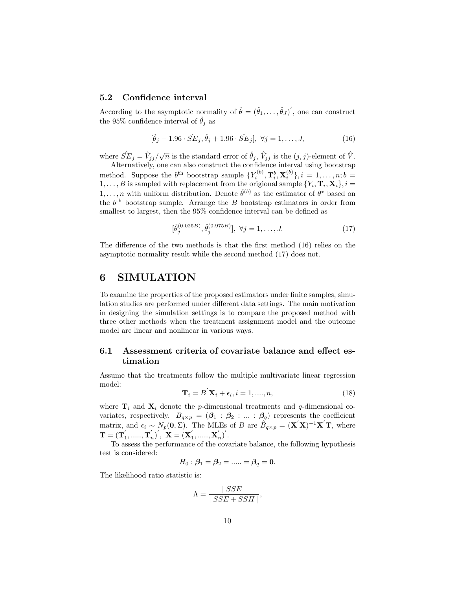## 5.2 Confidence interval

According to the asymptotic normality of  $\hat{\theta} = (\hat{\theta}_1, \dots, \hat{\theta}_J)'$ , one can construct the 95% confidence interval of  $\hat{\theta}_i$  as

$$
[\hat{\theta}_j - 1.96 \cdot \hat{SE}_j, \hat{\theta}_j + 1.96 \cdot \hat{SE}_j], \ \forall j = 1, ..., J,
$$
 (16)

where  $\hat{SE}_j = \hat{V}_{jj}/\sqrt{n}$  is the standard error of  $\hat{\theta}_j$ ,  $\hat{V}_{jj}$  is the  $(j, j)$ -element of  $\hat{V}$ .

Alternatively, one can also construct the confidence interval using bootstrap method. Suppose the  $b^{\text{th}}$  bootstrap sample  $\{Y_i^{(b)}, \mathbf{T}_i^b, \mathbf{X}_i^{(b)}\}, i = 1, \ldots, n; b =$  $1, \ldots, B$  is sampled with replacement from the origional sample  $\{Y_i, \mathbf{T}_i, \mathbf{X}_i\}, i =$  $1, \ldots, n$  with uniform distribution. Denote  $\hat{\theta}^{(b)}$  as the estimator of  $\theta^*$  based on the  $b<sup>th</sup>$  bootstrap sample. Arrange the B bootstrap estimators in order from smallest to largest, then the 95% confidence interval can be defined as

$$
[\hat{\theta}_j^{(0.025B)}, \hat{\theta}_j^{(0.975B)}], \ \forall j = 1, \dots, J. \tag{17}
$$

The difference of the two methods is that the first method  $(16)$  relies on the asymptotic normality result while the second method (17) does not.

# 6 SIMULATION

To examine the properties of the proposed estimators under finite samples, simulation studies are performed under different data settings. The main motivation in designing the simulation settings is to compare the proposed method with three other methods when the treatment assignment model and the outcome model are linear and nonlinear in various ways.

## 6.1 Assessment criteria of covariate balance and effect estimation

Assume that the treatments follow the multiple multivariate linear regression model:

$$
\mathbf{T}_{i} = B^{'}\mathbf{X}_{i} + \epsilon_{i}, i = 1, \dots, n,
$$
\n(18)

where  $\mathbf{T}_i$  and  $\mathbf{X}_i$  denote the *p*-dimensional treatments and *q*-dimensional covariates, respectively.  $B_{q\times p} = (\beta_1 : \beta_2 : ... : \beta_q)$  represents the coefficient matrix, and  $\epsilon_i \sim N_p(0, \Sigma)$ . The MLEs of B are  $\hat{B}_{q\times p} = (\mathbf{X}'\mathbf{X})^{-1}\mathbf{X}'\mathbf{T}$ , where  $\mathbf{T} = (\mathbf{T}_1^{'},......,\mathbf{T}_n^{'})^{'}, \ \mathbf{X} = (\mathbf{X}_1^{'},......,\mathbf{X}_n^{'})^{'}.$ 

To assess the performance of the covariate balance, the following hypothesis test is considered:

$$
H_0: \boldsymbol{\beta}_1 = \boldsymbol{\beta}_2 =.....= \boldsymbol{\beta}_q = \mathbf{0}.
$$

The likelihood ratio statistic is:

$$
\Lambda = \frac{\mid SSE \mid}{\mid SSE + SSH \mid},
$$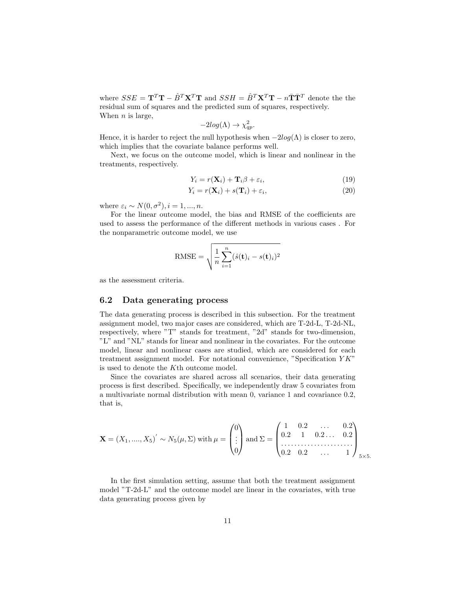where  $SSE = \mathbf{T}^T \mathbf{T} - \hat{B}^T \mathbf{X}^T \mathbf{T}$  and  $SSH = \hat{B}^T \mathbf{X}^T \mathbf{T} - n \bar{\mathbf{T}} \bar{\mathbf{T}}^T$  denote the the residual sum of squares and the predicted sum of squares, respectively. When  $n$  is large,

$$
-2log(\Lambda) \to \chi_{qp}^2.
$$

Hence, it is harder to reject the null hypothesis when  $-2log(\Lambda)$  is closer to zero, which implies that the covariate balance performs well.

Next, we focus on the outcome model, which is linear and nonlinear in the treatments, respectively.

$$
Y_i = r(\mathbf{X}_i) + \mathbf{T}_i \beta + \varepsilon_i,\tag{19}
$$

$$
Y_i = r(\mathbf{X}_i) + s(\mathbf{T}_i) + \varepsilon_i,\tag{20}
$$

where  $\varepsilon_i \sim N(0, \sigma^2), i = 1, ..., n$ .

For the linear outcome model, the bias and RMSE of the coefficients are used to assess the performance of the different methods in various cases . For the nonparametric outcome model, we use

RMSE = 
$$
\sqrt{\frac{1}{n} \sum_{i=1}^{n} (\hat{s}(\mathbf{t})_i - s(\mathbf{t})_i)^2}
$$

as the assessment criteria.

### 6.2 Data generating process

The data generating process is described in this subsection. For the treatment assignment model, two major cases are considered, which are T-2d-L, T-2d-NL, respectively, where "T" stands for treatment, "2d" stands for two-dimension, "L" and "NL" stands for linear and nonlinear in the covariates. For the outcome model, linear and nonlinear cases are studied, which are considered for each treatment assignment model. For notational convenience, "Specification Y K" is used to denote the Kth outcome model.

Since the covariates are shared across all scenarios, their data generating process is first described. Specifically, we independently draw 5 covariates from a multivariate normal distribution with mean 0, variance 1 and covariance 0.2, that is,

$$
\mathbf{X} = (X_1, \dots, X_5)' \sim N_5(\mu, \Sigma) \text{ with } \mu = \begin{pmatrix} 0 \\ \vdots \\ 0 \end{pmatrix} \text{ and } \Sigma = \begin{pmatrix} 1 & 0.2 & \dots & 0.2 \\ 0.2 & 1 & 0.2 \dots & 0.2 \\ \dots & \dots & \dots & \dots \\ 0.2 & 0.2 & \dots & 1 \end{pmatrix}_{5 \times 5}.
$$

In the first simulation setting, assume that both the treatment assignment model "T-2d-L" and the outcome model are linear in the covariates, with true data generating process given by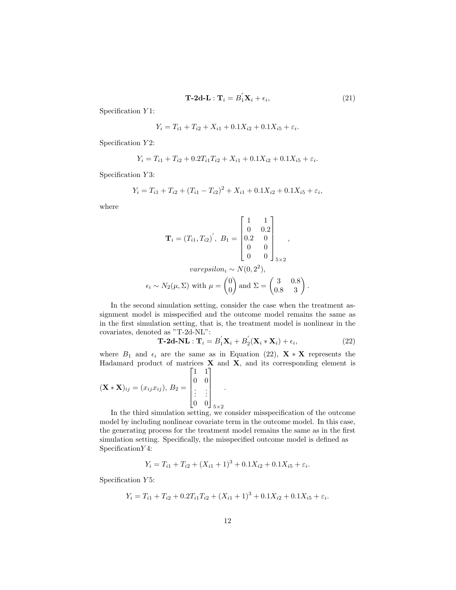$$
\mathbf{T}\text{-}\mathbf{2d}\text{-}\mathbf{L}:\mathbf{T}_i=B'_1\mathbf{X}_i+\epsilon_i,\tag{21}
$$

Specification Y1:

$$
Y_i = T_{i1} + T_{i2} + X_{i1} + 0.1X_{i2} + 0.1X_{i5} + \varepsilon_i.
$$

Specification Y2:

$$
Y_i = T_{i1} + T_{i2} + 0.2T_{i1}T_{i2} + X_{i1} + 0.1X_{i2} + 0.1X_{i5} + \varepsilon_i.
$$

Specification Y3:

$$
Y_i = T_{i1} + T_{i2} + (T_{i1} - T_{i2})^2 + X_{i1} + 0.1X_{i2} + 0.1X_{i5} + \varepsilon_i,
$$

where

$$
\mathbf{T}_{i} = (T_{i1}, T_{i2})^{'}, B_{1} = \begin{bmatrix} 1 & 1 \\ 0 & 0.2 \\ 0.2 & 0 \\ 0 & 0 \\ 0 & 0 \end{bmatrix}_{5 \times 2},
$$
  
\n*varepsilon<sub>i</sub>* ~  $N(0, 2^{2}),$   
\n
$$
\epsilon_{i} \sim N_{2}(\mu, \Sigma) \text{ with } \mu = \begin{pmatrix} 0 \\ 0 \end{pmatrix} \text{ and } \Sigma = \begin{pmatrix} 3 & 0.8 \\ 0.8 & 3 \end{pmatrix}.
$$

In the second simulation setting, consider the case when the treatment assignment model is misspecified and the outcome model remains the same as in the first simulation setting, that is, the treatment model is nonlinear in the covariates, denoted as "T-2d-NL":

$$
\mathbf{T}\text{-}2\mathbf{d}\text{-}N\mathbf{L}:\mathbf{T}_i=B'_1\mathbf{X}_i+B'_2(\mathbf{X}_i*\mathbf{X}_i)+\epsilon_i,
$$
\n(22)

where  $B_1$  and  $\epsilon_i$  are the same as in Equation (22),  $\mathbf{X} \times \mathbf{X}$  represents the Hadamard product of matrices  $X$  and  $X$ , and its corresponding element is  $\begin{bmatrix} 1 & 1 \end{bmatrix}$ 

$$
(\mathbf{X} * \mathbf{X})_{ij} = (x_{ij} x_{ij}), B_2 = \begin{bmatrix} 0 & 0 \\ 0 & 0 \\ \vdots & \vdots \\ 0 & 0 \end{bmatrix}_{5 \times 2}.
$$

In the third simulation setting, we consider misspecification of the outcome model by including nonlinear covariate term in the outcome model. In this case, the generating process for the treatment model remains the same as in the first simulation setting. Specifically, the misspecified outcome model is defined as Specification Y4:

$$
Y_i = T_{i1} + T_{i2} + (X_{i1} + 1)^3 + 0.1X_{i2} + 0.1X_{i5} + \varepsilon_i.
$$

Specification Y5:

$$
Y_i = T_{i1} + T_{i2} + 0.2T_{i1}T_{i2} + (X_{i1} + 1)^3 + 0.1X_{i2} + 0.1X_{i5} + \varepsilon_i.
$$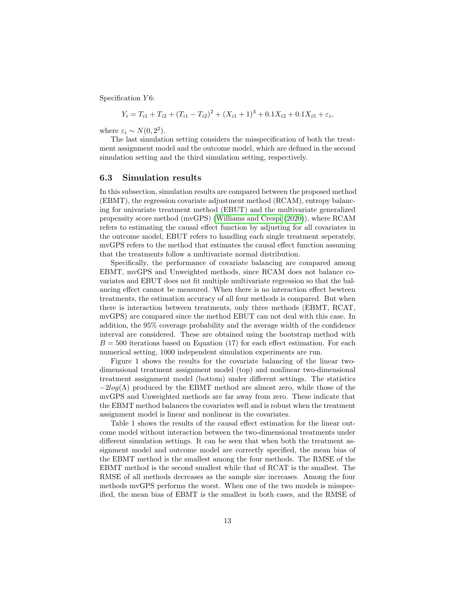Specification  $Y_6$ :

$$
Y_i = T_{i1} + T_{i2} + (T_{i1} - T_{i2})^2 + (X_{i1} + 1)^3 + 0.1X_{i2} + 0.1X_{i5} + \varepsilon_i,
$$

where  $\varepsilon_i \sim N(0, 2^2)$ .

The last simulation setting considers the misspecification of both the treatment assignment model and the outcome model, which are defined in the second simulation setting and the third simulation setting, respectively.

## 6.3 Simulation results

In this subsection, simulation results are compared between the proposed method (EBMT), the regression covariate adjustment method (RCAM), entropy balancing for univariate treatment method (EBUT) and the multivariate generalized propensity score method (mvGPS) [\(Williams and Crespi](#page-18-9) [\(2020\)](#page-18-9)), where RCAM refers to estimating the causal effect function by adjusting for all covariates in the outcome model, EBUT refers to handling each single treatment seperately, mvGPS refers to the method that estimates the causal effect function assuming that the treatments follow a multivariate normal distribution.

Specifically, the performance of covariate balancing are compared among EBMT, mvGPS and Unweighted methods, since RCAM does not balance covariates and EBUT does not fit multiple multivariate regression so that the balancing effect cannot be measured. When there is no interaction effect bewteen treatments, the estimation accuracy of all four methods is compared. But when there is interaction between treatments, only three methods (EBMT, RCAT, mvGPS) are compared since the method EBUT can not deal with this case. In addition, the 95% coverage probability and the average width of the confidence interval are considered. These are obtained using the bootstrap method with  $B = 500$  iterations based on Equation (17) for each effect estimation. For each numerical setting, 1000 independent simulation experiments are run.

Figure 1 shows the results for the covariate balancing of the linear twodimensional treatment assignment model (top) and nonlinear two-dimensional treatment assignment model (bottom) under different settings. The statistics  $-2log(\Lambda)$  produced by the EBMT method are almost zero, while those of the mvGPS and Unweighted methods are far away from zero. These indicate that the EBMT method balances the covariates well and is robust when the treatment assignment model is linear and nonlinear in the covariates.

Table 1 shows the results of the causal effect estimation for the linear outcome model without interaction between the two-dimensional treatments under different simulation settings. It can be seen that when both the treatment assignment model and outcome model are correctly specified, the mean bias of the EBMT method is the smallest among the four methods. The RMSE of the EBMT method is the second smallest while that of RCAT is the smallest. The RMSE of all methods decreases as the sample size increases. Among the four methods mvGPS performs the worst. When one of the two models is misspecified, the mean bias of EBMT is the smallest in both cases, and the RMSE of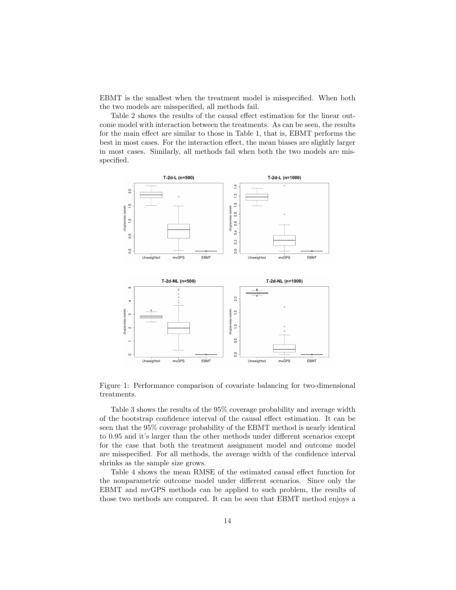EBMT is the smallest when the treatment model is misspecified. When both the two models are misspecified, all methods fail.

Table 2 shows the results of the causal effect estimation for the linear outcome model with interaction between the treatments. As can be seen, the results for the main effect are similar to those in Table 1, that is, EBMT performs the best in most cases. For the interaction effect, the mean biases are slightly larger in most cases. Similarly, all methods fail when both the two models are misspecified.



Figure 1: Performance comparison of covariate balancing for two-dimensional treatments.

Table 3 shows the results of the 95% coverage probability and average width of the bootstrap confidence interval of the causal effect estimation. It can be seen that the 95% coverage probability of the EBMT method is nearly identical to 0.95 and it's larger than the other methods under different scenarios except for the case that both the treatment assignment model and outcome model are misspecified. For all methods, the average width of the confidence interval shrinks as the sample size grows.

Table 4 shows the mean RMSE of the estimated causal effect function for the nonparametric outcome model under different scenarios. Since only the EBMT and mvGPS methods can be applied to such problem, the results of those two methods are compared. It can be seen that EBMT method enjoys a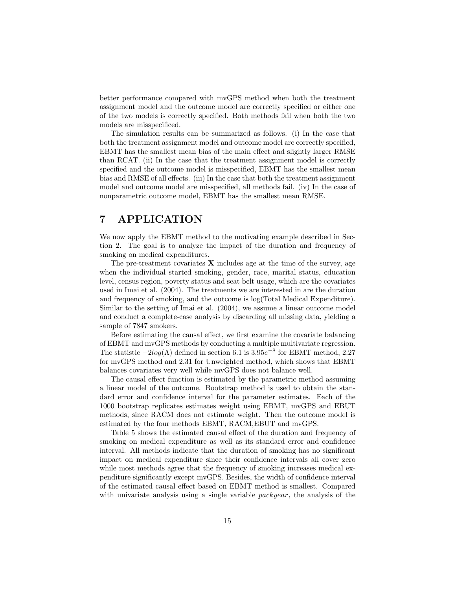better performance compared with mvGPS method when both the treatment assignment model and the outcome model are correctly specified or either one of the two models is correctly specified. Both methods fail when both the two models are misspecificed.

The simulation results can be summarized as follows. (i) In the case that both the treatment assignment model and outcome model are correctly specified, EBMT has the smallest mean bias of the main effect and slightly larger RMSE than RCAT. (ii) In the case that the treatment assignment model is correctly specified and the outcome model is misspecified, EBMT has the smallest mean bias and RMSE of all effects. (iii) In the case that both the treatment assignment model and outcome model are misspecified, all methods fail. (iv) In the case of nonparametric outcome model, EBMT has the smallest mean RMSE.

# 7 APPLICATION

We now apply the EBMT method to the motivating example described in Section 2. The goal is to analyze the impact of the duration and frequency of smoking on medical expenditures.

The pre-treatment covariates  $X$  includes age at the time of the survey, age when the individual started smoking, gender, race, marital status, education level, census region, poverty status and seat belt usage, which are the covariates used in Imai et al. (2004). The treatments we are interested in are the duration and frequency of smoking, and the outcome is log(Total Medical Expenditure). Similar to the setting of Imai et al. (2004), we assume a linear outcome model and conduct a complete-case analysis by discarding all missing data, yielding a sample of 7847 smokers.

Before estimating the causal effect, we first examine the covariate balancing of EBMT and mvGPS methods by conducting a multiple multivariate regression. The statistic  $-2log(\Lambda)$  defined in section 6.1 is 3.95 $e^{-8}$  for EBMT method, 2.27 for mvGPS method and 2.31 for Unweighted method, which shows that EBMT balances covariates very well while mvGPS does not balance well.

The causal effect function is estimated by the parametric method assuming a linear model of the outcome. Bootstrap method is used to obtain the standard error and confidence interval for the parameter estimates. Each of the 1000 bootstrap replicates estimates weight using EBMT, mvGPS and EBUT methods, since RACM does not estimate weight. Then the outcome model is estimated by the four methods EBMT, RACM,EBUT and mvGPS.

Table 5 shows the estimated causal effect of the duration and frequency of smoking on medical expenditure as well as its standard error and confidence interval. All methods indicate that the duration of smoking has no significant impact on medical expenditure since their confidence intervals all cover zero while most methods agree that the frequency of smoking increases medical expenditure significantly except mvGPS. Besides, the width of confidence interval of the estimated causal effect based on EBMT method is smallest. Compared with univariate analysis using a single variable *packyear*, the analysis of the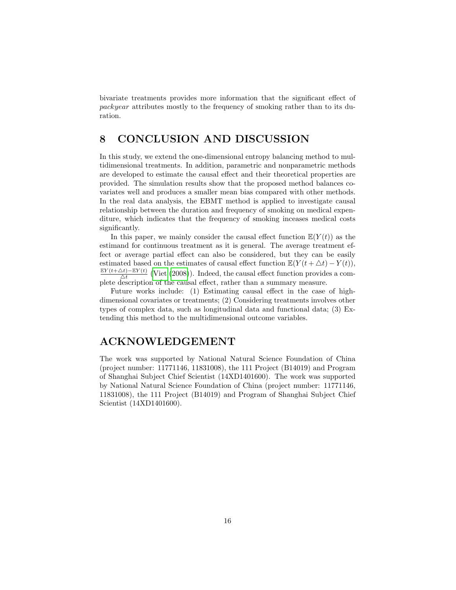bivariate treatments provides more information that the significant effect of packyear attributes mostly to the frequency of smoking rather than to its duration.

# 8 CONCLUSION AND DISCUSSION

In this study, we extend the one-dimensional entropy balancing method to multidimensional treatments. In addition, parametric and nonparametric methods are developed to estimate the causal effect and their theoretical properties are provided. The simulation results show that the proposed method balances covariates well and produces a smaller mean bias compared with other methods. In the real data analysis, the EBMT method is applied to investigate causal relationship between the duration and frequency of smoking on medical expenditure, which indicates that the frequency of smoking inceases medical costs significantly.

In this paper, we mainly consider the causal effect function  $\mathbb{E}(Y(t))$  as the estimand for continuous treatment as it is general. The average treatment effect or average partial effect can also be considered, but they can be easily estimated based on the estimates of causal effect function  $\mathbb{E}(Y(t + \triangle t) - Y(t)),$  $EY(t+\Delta t)-EY(t)$  $\frac{\Delta t - \mathbb{E}[Y(t)]}{\Delta t}$  [\(Viet](#page-18-10) [\(2008\)](#page-18-10)). Indeed, the causal effect function provides a complete description of the causal effect, rather than a summary measure.

Future works include: (1) Estimating causal effect in the case of highdimensional covariates or treatments; (2) Considering treatments involves other types of complex data, such as longitudinal data and functional data; (3) Extending this method to the multidimensional outcome variables.

# ACKNOWLEDGEMENT

The work was supported by National Natural Science Foundation of China (project number: 11771146, 11831008), the 111 Project (B14019) and Program of Shanghai Subject Chief Scientist (14XD1401600). The work was supported by National Natural Science Foundation of China (project number: 11771146, 11831008), the 111 Project (B14019) and Program of Shanghai Subject Chief Scientist (14XD1401600).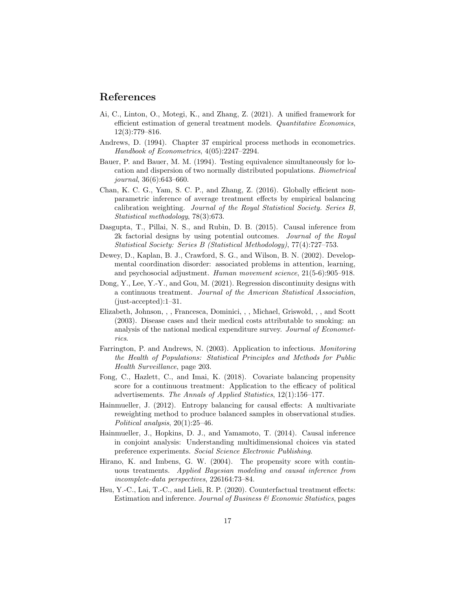# References

- <span id="page-16-10"></span>Ai, C., Linton, O., Motegi, K., and Zhang, Z. (2021). A unified framework for efficient estimation of general treatment models. Quantitative Economics, 12(3):779–816.
- <span id="page-16-9"></span>Andrews, D. (1994). Chapter 37 empirical process methods in econometrics. Handbook of Econometrics, 4(05):2247–2294.
- Bauer, P. and Bauer, M. M. (1994). Testing equivalence simultaneously for location and dispersion of two normally distributed populations. Biometrical journal, 36(6):643–660.
- <span id="page-16-1"></span>Chan, K. C. G., Yam, S. C. P., and Zhang, Z. (2016). Globally efficient nonparametric inference of average treatment effects by empirical balancing calibration weighting. Journal of the Royal Statistical Society. Series B, Statistical methodology, 78(3):673.
- <span id="page-16-5"></span>Dasgupta, T., Pillai, N. S., and Rubin, D. B. (2015). Causal inference from 2k factorial designs by using potential outcomes. Journal of the Royal Statistical Society: Series B (Statistical Methodology), 77(4):727–753.
- Dewey, D., Kaplan, B. J., Crawford, S. G., and Wilson, B. N. (2002). Developmental coordination disorder: associated problems in attention, learning, and psychosocial adjustment. Human movement science, 21(5-6):905–918.
- <span id="page-16-2"></span>Dong, Y., Lee, Y.-Y., and Gou, M. (2021). Regression discontinuity designs with a continuous treatment. Journal of the American Statistical Association, (just-accepted):1–31.
- <span id="page-16-8"></span>Elizabeth, Johnson, , , Francesca, Dominici, , , Michael, Griswold, , , and Scott (2003). Disease cases and their medical costs attributable to smoking: an analysis of the national medical expenditure survey. Journal of Econometrics.
- Farrington, P. and Andrews, N. (2003). Application to infectious. Monitoring the Health of Populations: Statistical Principles and Methods for Public Health Surveillance, page 203.
- <span id="page-16-0"></span>Fong, C., Hazlett, C., and Imai, K. (2018). Covariate balancing propensity score for a continuous treatment: Application to the efficacy of political advertisements. The Annals of Applied Statistics, 12(1):156–177.
- <span id="page-16-7"></span>Hainmueller, J. (2012). Entropy balancing for causal effects: A multivariate reweighting method to produce balanced samples in observational studies. Political analysis, 20(1):25–46.
- <span id="page-16-4"></span>Hainmueller, J., Hopkins, D. J., and Yamamoto, T. (2014). Causal inference in conjoint analysis: Understanding multidimensional choices via stated preference experiments. Social Science Electronic Publishing.
- <span id="page-16-6"></span>Hirano, K. and Imbens, G. W. (2004). The propensity score with continuous treatments. Applied Bayesian modeling and causal inference from incomplete-data perspectives, 226164:73–84.
- <span id="page-16-3"></span>Hsu, Y.-C., Lai, T.-C., and Lieli, R. P. (2020). Counterfactual treatment effects: Estimation and inference. Journal of Business & Economic Statistics, pages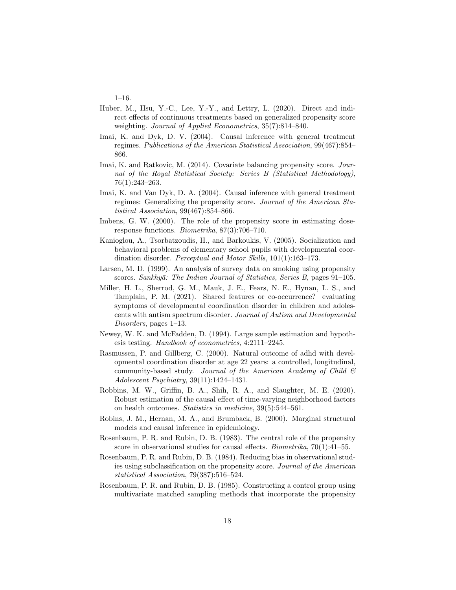1–16.

- Huber, M., Hsu, Y.-C., Lee, Y.-Y., and Lettry, L. (2020). Direct and indirect effects of continuous treatments based on generalized propensity score weighting. Journal of Applied Econometrics, 35(7):814–840.
- <span id="page-17-8"></span>Imai, K. and Dyk, D. V. (2004). Causal inference with general treatment regimes. Publications of the American Statistical Association, 99(467):854– 866.
- <span id="page-17-0"></span>Imai, K. and Ratkovic, M. (2014). Covariate balancing propensity score. Journal of the Royal Statistical Society: Series B (Statistical Methodology), 76(1):243–263.
- <span id="page-17-6"></span>Imai, K. and Van Dyk, D. A. (2004). Causal inference with general treatment regimes: Generalizing the propensity score. Journal of the American Statistical Association, 99(467):854–866.
- <span id="page-17-9"></span>Imbens, G. W. (2000). The role of the propensity score in estimating doseresponse functions. Biometrika, 87(3):706–710.
- Kanioglou, A., Tsorbatzoudis, H., and Barkoukis, V. (2005). Socialization and behavioral problems of elementary school pupils with developmental coordination disorder. Perceptual and Motor Skills, 101(1):163–173.
- <span id="page-17-7"></span>Larsen, M. D. (1999). An analysis of survey data on smoking using propensity scores. Sankhyā: The Indian Journal of Statistics, Series B, pages 91-105.
- Miller, H. L., Sherrod, G. M., Mauk, J. E., Fears, N. E., Hynan, L. S., and Tamplain, P. M. (2021). Shared features or co-occurrence? evaluating symptoms of developmental coordination disorder in children and adolescents with autism spectrum disorder. Journal of Autism and Developmental Disorders, pages 1–13.
- <span id="page-17-10"></span>Newey, W. K. and McFadden, D. (1994). Large sample estimation and hypothesis testing. Handbook of econometrics, 4:2111–2245.
- Rasmussen, P. and Gillberg, C. (2000). Natural outcome of adhd with developmental coordination disorder at age 22 years: a controlled, longitudinal, community-based study. Journal of the American Academy of Child  $\mathcal C$ Adolescent Psychiatry, 39(11):1424–1431.
- <span id="page-17-5"></span>Robbins, M. W., Griffin, B. A., Shih, R. A., and Slaughter, M. E. (2020). Robust estimation of the causal effect of time-varying neighborhood factors on health outcomes. Statistics in medicine, 39(5):544–561.
- <span id="page-17-4"></span>Robins, J. M., Hernan, M. A., and Brumback, B. (2000). Marginal structural models and causal inference in epidemiology.
- <span id="page-17-1"></span>Rosenbaum, P. R. and Rubin, D. B. (1983). The central role of the propensity score in observational studies for causal effects. Biometrika, 70(1):41–55.
- <span id="page-17-2"></span>Rosenbaum, P. R. and Rubin, D. B. (1984). Reducing bias in observational studies using subclassification on the propensity score. Journal of the American statistical Association, 79(387):516–524.
- <span id="page-17-3"></span>Rosenbaum, P. R. and Rubin, D. B. (1985). Constructing a control group using multivariate matched sampling methods that incorporate the propensity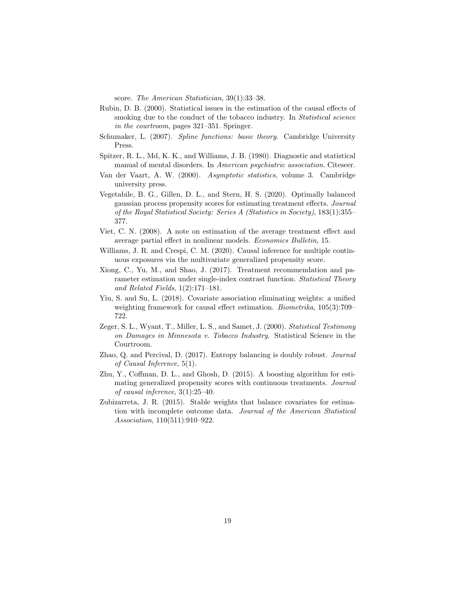score. The American Statistician, 39(1):33–38.

- <span id="page-18-6"></span>Rubin, D. B. (2000). Statistical issues in the estimation of the causal effects of smoking due to the conduct of the tobacco industry. In *Statistical science* in the courtroom, pages 321–351. Springer.
- <span id="page-18-8"></span>Schumaker, L. (2007). Spline functions: basic theory. Cambridge University Press.
- Spitzer, R. L., Md, K. K., and Williams, J. B. (1980). Diagnostic and statistical manual of mental disorders. In American psychiatric association. Citeseer.
- <span id="page-18-11"></span>Van der Vaart, A. W. (2000). Asymptotic statistics, volume 3. Cambridge university press.
- <span id="page-18-4"></span>Vegetabile, B. G., Gillen, D. L., and Stern, H. S. (2020). Optimally balanced gaussian process propensity scores for estimating treatment effects. Journal of the Royal Statistical Society: Series A (Statistics in Society), 183(1):355– 377.
- <span id="page-18-10"></span>Viet, C. N. (2008). A note on estimation of the average treatment effect and average partial effect in nonlinear models. Economics Bulletin, 15.
- <span id="page-18-9"></span>Williams, J. R. and Crespi, C. M. (2020). Causal inference for multiple continuous exposures via the multivariate generalized propensity score.
- <span id="page-18-2"></span>Xiong, C., Yu, M., and Shao, J. (2017). Treatment recommendation and parameter estimation under single-index contrast function. Statistical Theory and Related Fields, 1(2):171–181.
- <span id="page-18-3"></span>Yiu, S. and Su, L. (2018). Covariate association eliminating weights: a unified weighting framework for causal effect estimation. Biometrika, 105(3):709– 722.
- <span id="page-18-7"></span>Zeger, S. L., Wyant, T., Miller, L. S., and Samet, J. (2000). Statistical Testimony on Damages in Minnesota v. Tobacco Industry. Statistical Science in the Courtroom.
- <span id="page-18-5"></span>Zhao, Q. and Percival, D. (2017). Entropy balancing is doubly robust. Journal of Causal Inference, 5(1).
- <span id="page-18-0"></span>Zhu, Y., Coffman, D. L., and Ghosh, D. (2015). A boosting algorithm for estimating generalized propensity scores with continuous treatments. Journal of causal inference, 3(1):25–40.
- <span id="page-18-1"></span>Zubizarreta, J. R. (2015). Stable weights that balance covariates for estimation with incomplete outcome data. Journal of the American Statistical Association, 110(511):910–922.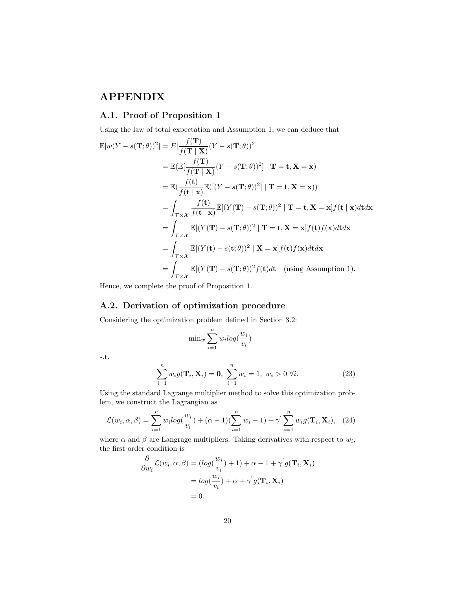# APPENDIX

## A.1. Proof of Proposition 1

Using the law of total expectation and Assumption 1, we can deduce that

$$
\mathbb{E}[w(Y - s(\mathbf{T};\theta))^2] = E[\frac{f(\mathbf{T})}{f(\mathbf{T} \mid \mathbf{X})}(Y - s(\mathbf{T};\theta))^2]
$$
\n
$$
= \mathbb{E}(\mathbb{E}[\frac{f(\mathbf{T})}{f(\mathbf{T} \mid \mathbf{X})}(Y - s(\mathbf{T};\theta))^2] | \mathbf{T} = \mathbf{t}, \mathbf{X} = \mathbf{x})
$$
\n
$$
= \mathbb{E}(\frac{f(\mathbf{t})}{f(\mathbf{t} \mid \mathbf{x})}\mathbb{E}([Y - s(\mathbf{T};\theta))^2] | \mathbf{T} = \mathbf{t}, \mathbf{X} = \mathbf{x}))
$$
\n
$$
= \int_{\mathcal{T} \times \mathcal{X}} \frac{f(\mathbf{t})}{f(\mathbf{t} \mid \mathbf{x})}\mathbb{E}[(Y(\mathbf{T}) - s(\mathbf{T};\theta))^2 | \mathbf{T} = \mathbf{t}, \mathbf{X} = \mathbf{x}]f(\mathbf{t} \mid \mathbf{x})d\mathbf{t}d\mathbf{x}
$$
\n
$$
= \int_{\mathcal{T} \times \mathcal{X}} \mathbb{E}[(Y(\mathbf{T}) - s(\mathbf{T};\theta))^2 | \mathbf{T} = \mathbf{t}, \mathbf{X} = \mathbf{x}]f(\mathbf{t})f(\mathbf{x})d\mathbf{t}d\mathbf{x}
$$
\n
$$
= \int_{\mathcal{T} \times \mathcal{X}} \mathbb{E}[(Y(\mathbf{t}) - s(\mathbf{t};\theta))^2 | \mathbf{X} = \mathbf{x}]f(\mathbf{t})f(\mathbf{x})d\mathbf{t}d\mathbf{x}
$$
\n
$$
= \int_{\mathcal{T} \times \mathcal{X}} \mathbb{E}[(Y(\mathbf{T}) - s(\mathbf{T};\theta))^2 f(\mathbf{t})d\mathbf{t} \quad \text{(using Assumption 1)}.
$$

Hence, we complete the proof of Proposition 1.

# A.2. Derivation of optimization procedure

Considering the optimization problem defined in Section 3.2:

$$
\min_w \sum_{i=1}^n w_i log(\frac{w_i}{v_i})
$$

s.t.

$$
\sum_{i=1}^{n} w_i g(\mathbf{T}_i, \mathbf{X}_i) = \mathbf{0}, \ \sum_{i=1}^{n} w_i = 1, \ w_i > 0 \ \forall i.
$$
 (23)

Using the standard Lagrange multiplier method to solve this optimization problem, we construct the Lagrangian as

$$
\mathcal{L}(w_i, \alpha, \beta) = \sum_{i=1}^n w_i \log(\frac{w_i}{v_i}) + (\alpha - 1)(\sum_{i=1}^n w_i - 1) + \gamma' \sum_{i=1}^n w_i g(\mathbf{T}_i, \mathbf{X}_i), \quad (24)
$$

where  $\alpha$  and  $\beta$  are Langrage multipliers. Taking derivatives with respect to  $w_i$ , the first order condition is

$$
\frac{\partial}{\partial w_i} \mathcal{L}(w_i, \alpha, \beta) = (log(\frac{w_i}{v_i}) + 1) + \alpha - 1 + \gamma' g(\mathbf{T}_i, \mathbf{X}_i)
$$

$$
= log(\frac{w_i}{v_i}) + \alpha + \gamma' g(\mathbf{T}_i, \mathbf{X}_i)
$$

$$
= 0.
$$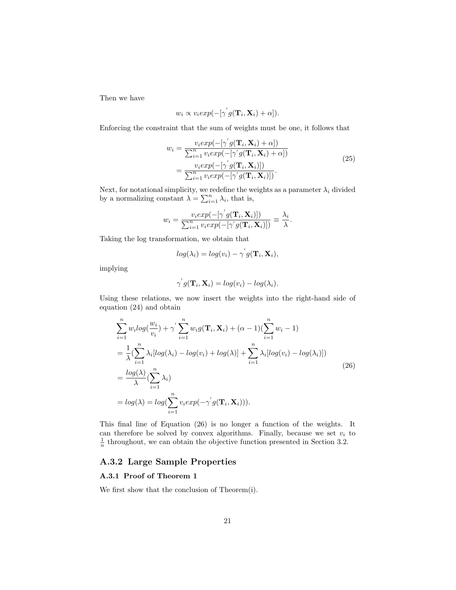Then we have

$$
w_i \propto v_i exp(-[\gamma^{'}g(\mathbf{T}_i, \mathbf{X}_i) + \alpha]).
$$

Enforcing the constraint that the sum of weights must be one, it follows that

$$
w_i = \frac{v_i exp(-[\gamma' g(\mathbf{T}_i, \mathbf{X}_i) + \alpha])}{\sum_{i=1}^n v_i exp(-[\gamma' g(\mathbf{T}_i, \mathbf{X}_i) + \alpha])}
$$
  
= 
$$
\frac{v_i exp(-[\gamma' g(\mathbf{T}_i, \mathbf{X}_i)])}{\sum_{i=1}^n v_i exp(-[\gamma' g(\mathbf{T}_i, \mathbf{X}_i)])}.
$$
 (25)

Next, for notational simplicity, we redefine the weights as a parameter  $\lambda_i$  divided by a normalizing constant  $\lambda = \sum_{i=1}^{n} \lambda_i$ , that is,

$$
w_i = \frac{v_i exp(-[\gamma' g(\mathbf{T}_i, \mathbf{X}_i)])}{\sum_{i=1}^n v_i exp(-[\gamma' g(\mathbf{T}_i, \mathbf{X}_i)])} \equiv \frac{\lambda_i}{\lambda}.
$$

Taking the log transformation, we obtain that

$$
log(\lambda_i) = log(v_i) - \gamma^{'} g(\mathbf{T}_i, \mathbf{X}_i),
$$

implying

$$
\gamma' g(\mathbf{T}_i, \mathbf{X}_i) = log(v_i) - log(\lambda_i).
$$

Using these relations, we now insert the weights into the right-hand side of equation (24) and obtain

$$
\sum_{i=1}^{n} w_i log(\frac{w_i}{v_i}) + \gamma' \sum_{i=1}^{n} w_i g(\mathbf{T}_i, \mathbf{X}_i) + (\alpha - 1)(\sum_{i=1}^{n} w_i - 1)
$$
\n
$$
= \frac{1}{\lambda} (\sum_{i=1}^{n} \lambda_i [log(\lambda_i) - log(v_i) + log(\lambda)] + \sum_{i=1}^{n} \lambda_i [log(v_i) - log(\lambda_i)])
$$
\n
$$
= \frac{log(\lambda)}{\lambda} (\sum_{i=1}^{n} \lambda_i)
$$
\n
$$
= log(\lambda) = log(\sum_{i=1}^{n} v_i exp(-\gamma' g(\mathbf{T}_i, \mathbf{X}_i))).
$$
\n(26)

This final line of Equation (26) is no longer a function of the weights. It can therefore be solved by convex algorithms. Finally, because we set  $v_i$  to  $\frac{1}{n}$  throughout, we can obtain the objective function presented in Section 3.2.

## A.3.2 Large Sample Properties

## A.3.1 Proof of Theorem 1

We first show that the conclusion of Theorem(i).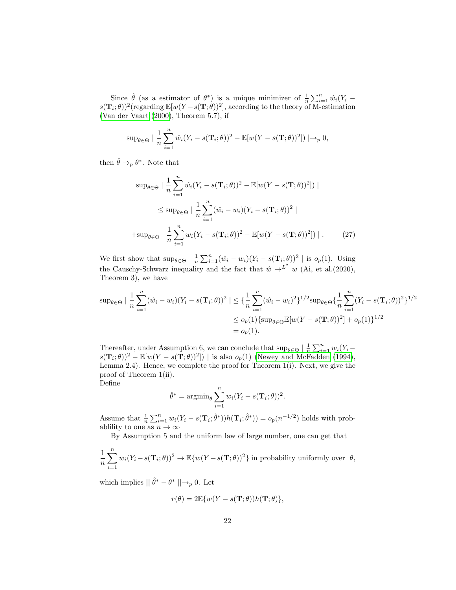Since  $\hat{\theta}$  (as a estimator of  $\theta^*$ ) is a unique minimizer of  $\frac{1}{n} \sum_{i=1}^n \hat{w}_i (Y_i$  $s(\mathbf{T}_i;\theta))^2$  (regarding  $\mathbb{E}[w(Y-s(\mathbf{T};\theta))^2]$ , according to the theory of M-estimation [\(Van der Vaart](#page-18-11) [\(2000\)](#page-18-11), Theorem 5.7), if

$$
\sup_{\theta \in \Theta} \left| \frac{1}{n} \sum_{i=1}^n \hat{w}_i (Y_i - s(\mathbf{T}_i; \theta))^2 - \mathbb{E}[w(Y - s(\mathbf{T}; \theta))^2] \right) \right| \to_p 0,
$$

then  $\hat{\theta} \rightarrow_p \theta^*$ . Note that

$$
\sup_{\theta \in \Theta} \left| \frac{1}{n} \sum_{i=1}^{n} \hat{w}_i (Y_i - s(\mathbf{T}_i; \theta))^2 - \mathbb{E}[w(Y - s(\mathbf{T}; \theta))^2] \right) \right|
$$
  

$$
\leq \sup_{\theta \in \Theta} \left| \frac{1}{n} \sum_{i=1}^{n} (\hat{w}_i - w_i) (Y_i - s(\mathbf{T}_i; \theta))^2 \right|
$$
  
+
$$
\sup_{\theta \in \Theta} \left| \frac{1}{n} \sum_{i=1}^{n} w_i (Y_i - s(\mathbf{T}_i; \theta))^2 - \mathbb{E}[w(Y - s(\mathbf{T}; \theta))^2] \right|.
$$
 (27)

We first show that  $\sup_{\theta \in \Theta} \left| \frac{1}{n} \sum_{i=1}^n (\hat{w}_i - w_i)(Y_i - s(\mathbf{T}_i; \theta))^2 \right|$  is  $o_p(1)$ . Using the Causchy-Schwarz inequality and the fact that  $\hat{w} \rightarrow^{L^2} w$  (Ai, et al.(2020), Theorem 3), we have

$$
\sup_{\theta \in \Theta} |\frac{1}{n} \sum_{i=1}^{n} (\hat{w}_i - w_i)(Y_i - s(\mathbf{T}_i; \theta))^2| \leq {\frac{1}{n} \sum_{i=1}^{n} (\hat{w}_i - w_i)^2}^{1/2} \sup_{\theta \in \Theta} {\frac{1}{n} \sum_{i=1}^{n} (Y_i - s(\mathbf{T}_i; \theta))^2}^{1/2}
$$
  

$$
\leq o_p(1) {\sup_{\theta \in \Theta} \mathbb{E}[w(Y - s(\mathbf{T}; \theta))^2] + o_p(1)}^{1/2}
$$
  

$$
= o_p(1).
$$

Thereafter, under Assumption 6, we can conclude that  $\sup_{\theta \in \Theta} | \frac{1}{n} \sum_{i=1}^{n} w_i (Y_i$  $s(\mathbf{T}_i;\theta))^2 - \mathbb{E}[w(Y-s(\mathbf{T};\theta))^2]$  is also  $o_p(1)$  [\(Newey and McFadden](#page-17-10) [\(1994\)](#page-17-10), Lemma 2.4). Hence, we complete the proof for Theorem 1(i). Next, we give the proof of Theorem 1(ii). Define

$$
\hat{\theta}^* = \operatorname{argmin}_{\theta} \sum_{i=1}^n w_i (Y_i - s(\mathbf{T}_i; \theta))^2.
$$

Assume that  $\frac{1}{n} \sum_{i=1}^n w_i (Y_i - s(\mathbf{T}_i; \hat{\theta}^*)) h(\mathbf{T}_i; \hat{\theta}^*)) = o_p(n^{-1/2})$  holds with probablility to one as  $n \to \infty$ 

By Assumption 5 and the uniform law of large number, one can get that

$$
\frac{1}{n}\sum_{i=1}^{n} w_i (Y_i - s(\mathbf{T}_i; \theta))^2 \to \mathbb{E}\{w(Y - s(\mathbf{T}; \theta))^2\}
$$
 in probability uniformly over  $\theta$ ,

which implies  $\|\hat{\theta}^* - \theta^*\| \rightarrow_p 0$ . Let

$$
r(\theta) = 2\mathbb{E}\{w(Y - s(\mathbf{T}; \theta))h(\mathbf{T}; \theta)\},\
$$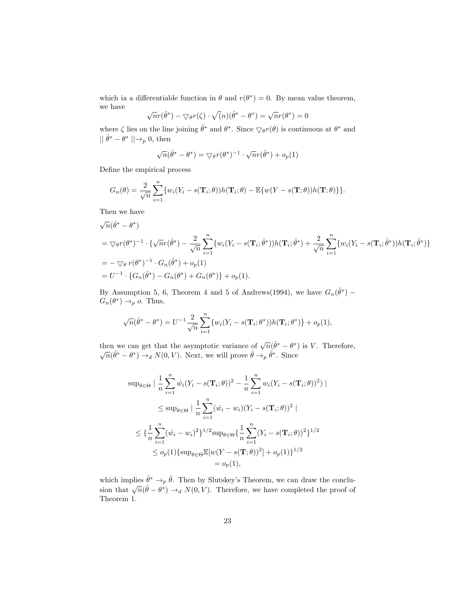which ia a differentiable function in  $\theta$  and  $r(\theta^*) = 0$ . By mean value theorem, we have √

$$
\sqrt{n}r(\hat{\theta}^*) - \nabla_{\theta}r(\zeta) \cdot \sqrt(n)(\hat{\theta}^* - \theta^*) = \sqrt{n}r(\theta^*) = 0
$$

where  $\zeta$  lies on the line joining  $\hat{\theta}^*$  and  $\theta^*$ . Since  $\nabla_{\theta} r(\theta)$  is continuous at  $\theta^*$  and  $|| \hat{\theta}^* - \theta^* || \rightarrow_p 0$ , then

$$
\sqrt{n}(\hat{\theta}^* - \theta^*) = \nabla_{\theta} r(\theta^*)^{-1} \cdot \sqrt{n}r(\hat{\theta}^*) + o_p(1)
$$

Define the empirical process

$$
G_n(\theta) = \frac{2}{\sqrt{n}} \sum_{i=1}^n \{w_i(Y_i - s(\mathbf{T}_i; \theta))h(\mathbf{T}_i; \theta) - \mathbb{E}\{w(Y - s(\mathbf{T}; \theta))h(\mathbf{T}; \theta)\}\}.
$$

Then we have

$$
\sqrt{n}(\hat{\theta}^* - \theta^*)
$$
  
=  $\nabla_{\theta} r(\theta^*)^{-1} \cdot \{ \sqrt{n} r(\hat{\theta}^*) - \frac{2}{\sqrt{n}} \sum_{i=1}^n \{ w_i (Y_i - s(\mathbf{T}_i; \hat{\theta}^*)) h(\mathbf{T}_i; \hat{\theta}^*) + \frac{2}{\sqrt{n}} \sum_{i=1}^n \{ w_i (Y_i - s(\mathbf{T}_i; \hat{\theta}^*)) h(\mathbf{T}_i; \hat{\theta}^*) \} \}$   
=  $-\nabla_{\theta} r(\theta^*)^{-1} \cdot G_n(\hat{\theta}^*) + o_p(1)$   
=  $U^{-1} \cdot \{ G_n(\hat{\theta}^*) - G_n(\theta^*) + G_n(\theta^*) \} + o_p(1).$ 

By Assumption 5, 6, Theorem 4 and 5 of Andrews(1994), we have  $G_n(\hat{\theta}^*)$  –  $G_n(\theta^*) \to_p o$ . Thus,

$$
\sqrt{n}(\hat{\theta}^* - \theta^*) = U^{-1} \frac{2}{\sqrt{n}} \sum_{i=1}^n \{w_i(Y_i - s(\mathbf{T}_i; \theta^*))h(\mathbf{T}_i; \theta^*)\} + o_p(1),
$$

then we can get that the asymptotic variance of  $\sqrt{n}(\hat{\theta}^* - \theta^*)$  is V. Therefore,  $\sqrt{n}(\hat{\theta}^* - \theta^*) \rightarrow_d N(0, V)$ . Next, we will prove  $\hat{\theta} \rightarrow_p \hat{\theta}^*$ . Since

$$
\sup_{\theta \in \Theta} |\frac{1}{n} \sum_{i=1}^{n} \hat{w}_i (Y_i - s(\mathbf{T}_i; \theta))^2 - \frac{1}{n} \sum_{i=1}^{n} w_i (Y_i - s(\mathbf{T}_i; \theta))^2)|
$$
  
\n
$$
\leq \sup_{\theta \in \Theta} |\frac{1}{n} \sum_{i=1}^{n} (\hat{w}_i - w_i)(Y_i - s(\mathbf{T}_i; \theta))^2|
$$
  
\n
$$
\leq {\frac{1}{n} \sum_{i=1}^{n} (\hat{w}_i - w_i)^2}^{1/2} \sup_{\theta \in \Theta} {\frac{1}{n} \sum_{i=1}^{n} (Y_i - s(\mathbf{T}_i; \theta))^2}^{1/2}
$$
  
\n
$$
\leq o_p(1) {\sup_{\theta \in \Theta} \mathbb{E}[w(Y - s(\mathbf{T}; \theta))^2] + o_p(1)}^{1/2}
$$
  
\n
$$
= o_p(1),
$$

which implies  $\hat{\theta}^* \to_p \hat{\theta}$ . Then by Slutskey's Theorem, we can draw the conclusion that  $\sqrt{n}(\hat{\theta} - \theta^*) \rightarrow_d N(0, V)$ . Therefore, we have completed the proof of Theorem 1.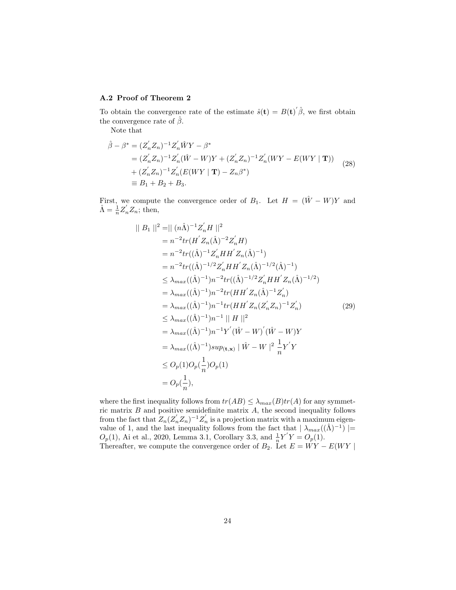## A.2 Proof of Theorem 2

To obtain the convergence rate of the estimate  $\hat{s}(t) = B(t)^{'}\hat{\beta}$ , we first obtain the convergence rate of  $\hat{\beta}$ .

Note that

$$
\hat{\beta} - \beta^* = (Z'_n Z_n)^{-1} Z'_n \hat{W}Y - \beta^*
$$
  
=  $(Z'_n Z_n)^{-1} Z'_n (\hat{W} - W)Y + (Z'_n Z_n)^{-1} Z'_n (WY - E(WY | \mathbf{T}))$   
+  $(Z'_n Z_n)^{-1} Z'_n (E(WY | \mathbf{T}) - Z_n \beta^*)$   
\equiv  $B_1 + B_2 + B_3$ . (28)

First, we compute the convergence order of  $B_1$ . Let  $H = (\hat{W} - W)Y$  and  $\hat{\Lambda} = \frac{1}{n} Z_n' Z_n$ ; then,

$$
||B_1||^2 = || (n\hat{\Lambda})^{-1} Z'_n H ||^2
$$
  
\n
$$
= n^{-2} tr(H' Z_n(\hat{\Lambda})^{-2} Z'_n H)
$$
  
\n
$$
= n^{-2} tr((\hat{\Lambda})^{-1} Z'_n H H' Z_n(\hat{\Lambda})^{-1})
$$
  
\n
$$
= n^{-2} tr((\hat{\Lambda})^{-1/2} Z'_n H H' Z_n(\hat{\Lambda})^{-1/2} (\hat{\Lambda})^{-1})
$$
  
\n
$$
\leq \lambda_{max}((\hat{\Lambda})^{-1}) n^{-2} tr((\hat{\Lambda})^{-1/2} Z'_n H H' Z_n(\hat{\Lambda})^{-1/2})
$$
  
\n
$$
= \lambda_{max}((\hat{\Lambda})^{-1}) n^{-2} tr(H H' Z_n(\hat{\Lambda})^{-1} Z'_n)
$$
  
\n
$$
= \lambda_{max}((\hat{\Lambda})^{-1}) n^{-1} tr(H H' Z_n(Z'_n Z_n)^{-1} Z'_n)
$$
  
\n
$$
\leq \lambda_{max}((\hat{\Lambda})^{-1}) n^{-1} || H ||^2
$$
  
\n
$$
= \lambda_{max}((\hat{\Lambda})^{-1}) n^{-1} Y' (\hat{W} - W)' (\hat{W} - W) Y
$$
  
\n
$$
= \lambda_{max}((\hat{\Lambda})^{-1}) s u p_{(\mathbf{t}, \mathbf{x})} || \hat{W} - W ||^2 \frac{1}{n} Y' Y
$$
  
\n
$$
\leq O_p(1) O_p(\frac{1}{n}) O_p(1)
$$
  
\n
$$
= O_p(\frac{1}{n}),
$$
  
\n(12)

where the first inequality follows from  $tr(AB) \leq \lambda_{max}(B)tr(A)$  for any symmetric matrix  $B$  and positive semidefinite matrix  $A$ , the second inequality follows from the fact that  $Z_n(Z'_nZ_n)^{-1}Z'_n$  is a projection matrix with a maximum eigenvalue of 1, and the last inequality follows from the fact that  $|\lambda_{max}((\hat{\Lambda})^{-1})|$  =  $O_p(1)$ , Ai et al., 2020, Lemma 3.1, Corollary 3.3, and  $\frac{1}{n}Y'Y = O_p(1)$ . Thereafter, we compute the convergence order of  $B_2$ . Let  $E = WY - E(WY)$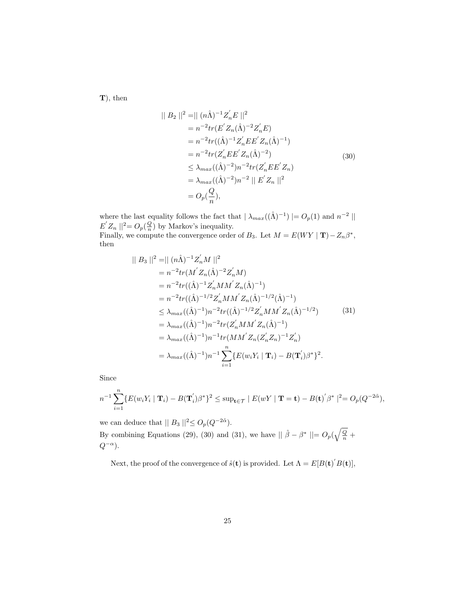T), then

$$
||B_2||^2 = || (n\hat{\Lambda})^{-1} Z'_n E ||^2
$$
  
=  $n^{-2} tr(E' Z_n(\hat{\Lambda})^{-2} Z'_n E)$   
=  $n^{-2} tr((\hat{\Lambda})^{-1} Z'_n E E' Z_n(\hat{\Lambda})^{-1})$   
=  $n^{-2} tr(Z'_n E E' Z_n(\hat{\Lambda})^{-2})$   
 $\leq \lambda_{max}((\hat{\Lambda})^{-2}) n^{-2} tr(Z'_n E E' Z_n)$   
=  $\lambda_{max}((\hat{\Lambda})^{-2}) n^{-2} || E' Z_n ||^2$   
=  $O_p(\frac{Q}{n}),$  (30)

where the last equality follows the fact that  $|\lambda_{max}((\hat{\Lambda})^{-1})| = O_p(1)$  and  $n^{-2}$  $E' Z_n$  ||<sup>2</sup> =  $O_p(\frac{Q}{n})$  by Markov's inequality. Finally, we compute the convergence order of  $B_3$ . Let  $M = E(WY | T) - Z_n \beta^*$ , then

$$
\|B_3\|^2 = \|(n\hat{\Lambda})^{-1} Z'_n M\|^2
$$
  
\n
$$
= n^{-2} tr(M' Z_n(\hat{\Lambda})^{-2} Z'_n M)
$$
  
\n
$$
= n^{-2} tr((\hat{\Lambda})^{-1} Z'_n M M' Z_n(\hat{\Lambda})^{-1})
$$
  
\n
$$
= n^{-2} tr((\hat{\Lambda})^{-1/2} Z'_n M M' Z_n(\hat{\Lambda})^{-1/2} (\hat{\Lambda})^{-1})
$$
  
\n
$$
\leq \lambda_{max}((\hat{\Lambda})^{-1}) n^{-2} tr((\hat{\Lambda})^{-1/2} Z'_n M M' Z_n(\hat{\Lambda})^{-1/2})
$$
  
\n
$$
= \lambda_{max}((\hat{\Lambda})^{-1}) n^{-2} tr(Z'_n M M' Z_n(\hat{\Lambda})^{-1})
$$
  
\n
$$
= \lambda_{max}((\hat{\Lambda})^{-1}) n^{-1} tr(M M' Z_n(Z'_n Z_n)^{-1} Z'_n)
$$
  
\n
$$
= \lambda_{max}((\hat{\Lambda})^{-1}) n^{-1} \sum_{i=1}^n \{E(w_i Y_i \mid \mathbf{T}_i) - B(\mathbf{T}'_i) \beta^*\}^2.
$$
 (31)

Since

$$
n^{-1}\sum_{i=1}^n\{E(w_iY_i\mid \mathbf{T}_i)-B(\mathbf{T}_i)\beta^*\}^2\leq \sup_{\mathbf{t}\in\mathcal{T}}|E(wY\mid \mathbf{T}=\mathbf{t})-B(\mathbf{t})'\beta^*\|^2=O_p(Q^{-2\tilde{\alpha}}),
$$

we can deduce that  $|| B_3 ||^2 \leq O_p(Q^{-2\tilde{\alpha}})$ . By combining Equations (29), (30) and (31), we have  $|| \hat{\beta} - \beta^* || = O_p(\sqrt{\frac{Q}{n}} + \frac{1}{2})$  $Q^{-\alpha}).$ 

Next, the proof of the convergence of  $\hat{s}(\mathbf{t})$  is provided. Let  $\Lambda = E[B(\mathbf{t})] B(\mathbf{t})],$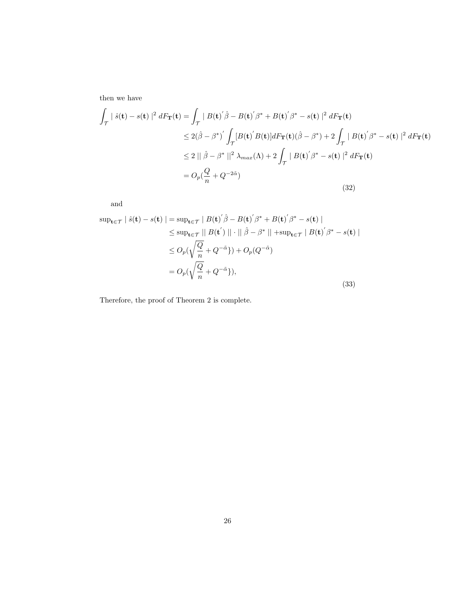then we have

$$
\int_{\mathcal{T}} |\hat{s}(\mathbf{t}) - s(\mathbf{t})|^2 dF_{\mathbf{T}}(\mathbf{t}) = \int_{\mathcal{T}} |B(\mathbf{t})' \hat{\beta} - B(\mathbf{t})' \beta^* + B(\mathbf{t})' \beta^* - s(\mathbf{t})|^2 dF_{\mathbf{T}}(\mathbf{t})
$$
\n
$$
\leq 2(\hat{\beta} - \beta^*)' \int_{\mathcal{T}} [B(\mathbf{t})' B(\mathbf{t})] dF_{\mathbf{T}}(\mathbf{t}) (\hat{\beta} - \beta^*) + 2 \int_{\mathcal{T}} |B(\mathbf{t})' \beta^* - s(\mathbf{t})|^2 dF_{\mathbf{T}}(\mathbf{t})
$$
\n
$$
\leq 2 || \hat{\beta} - \beta^* ||^2 \lambda_{max}(\Lambda) + 2 \int_{\mathcal{T}} |B(\mathbf{t})' \beta^* - s(\mathbf{t})|^2 dF_{\mathbf{T}}(\mathbf{t})
$$
\n
$$
= O_p(\frac{Q}{n} + Q^{-2\tilde{\alpha}})
$$
\n(32)

and

$$
\sup_{\mathbf{t}\in\mathcal{T}}|\hat{s}(\mathbf{t}) - s(\mathbf{t})| = \sup_{\mathbf{t}\in\mathcal{T}}|B(\mathbf{t})'\hat{\beta} - B(\mathbf{t})'\beta^* + B(\mathbf{t})'\beta^* - s(\mathbf{t})|
$$
  
\n
$$
\leq \sup_{\mathbf{t}\in\mathcal{T}}||B(\mathbf{t}')|| \cdot ||\hat{\beta} - \beta^*|| + \sup_{\mathbf{t}\in\mathcal{T}}|B(\mathbf{t})'\beta^* - s(\mathbf{t})|
$$
  
\n
$$
\leq O_p(\sqrt{\frac{Q}{n}} + Q^{-\tilde{\alpha}}) + O_p(Q^{-\tilde{\alpha}})
$$
  
\n
$$
= O_p(\sqrt{\frac{Q}{n}} + Q^{-\tilde{\alpha}}),
$$
\n(33)

Therefore, the proof of Theorem 2 is complete.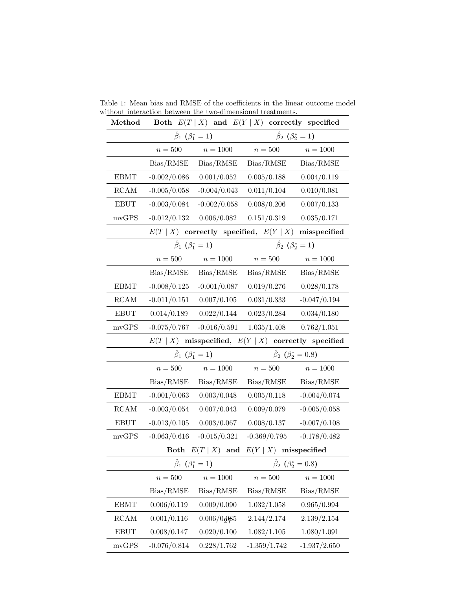| Method                |                                     |                                     | Both $E(T   X)$ and $E(Y   X)$ correctly specified |                                       |  |
|-----------------------|-------------------------------------|-------------------------------------|----------------------------------------------------|---------------------------------------|--|
|                       |                                     | $\hat{\beta}_1$ ( $\beta_1^* = 1$ ) | $\hat{\beta}_2$ ( $\beta_2^* = 1$ )                |                                       |  |
|                       | $n=500\,$<br>$n = 1000$             |                                     | $n=500$                                            | $n = 1000$                            |  |
|                       | Bias/RMSE                           | Bias/RMSE                           | Bias/RMSE                                          | Bias/RMSE                             |  |
| <b>EBMT</b>           | $-0.002/0.086$                      | 0.001/0.052                         | 0.005/0.188                                        | 0.004/0.119                           |  |
| RCAM                  | $-0.005/0.058$                      | $-0.004/0.043$                      | 0.011/0.104                                        | 0.010/0.081                           |  |
| <b>EBUT</b>           | $-0.003/0.084$                      | $-0.002/0.058$                      | 0.008/0.206                                        | 0.007/0.133                           |  |
| mvGPS                 | $-0.012/0.132$                      | 0.006/0.082                         | 0.151/0.319                                        | 0.035/0.171                           |  |
|                       | E(T   X)                            |                                     | correctly specified, $E(Y   X)$                    | misspecified                          |  |
|                       |                                     | $\hat{\beta}_1$ ( $\beta_1^* = 1$ ) |                                                    | $\hat{\beta}_2$ ( $\beta_2^* = 1$ )   |  |
|                       | $n=500$                             | $n = 1000$                          | $n=500$                                            | $n = 1000$                            |  |
|                       | Bias/RMSE                           | Bias/RMSE                           | Bias/RMSE                                          | Bias/RMSE                             |  |
| <b>EBMT</b>           | $-0.008/0.125$                      | $-0.001/0.087$                      | 0.019/0.276                                        | 0.028/0.178                           |  |
| RCAM                  | $-0.011/0.151$                      | 0.007/0.105                         | 0.031/0.333                                        | $-0.047/0.194$                        |  |
| <b>EBUT</b>           | 0.014/0.189                         | 0.022/0.144                         | 0.023/0.284                                        | 0.034/0.180                           |  |
| mvGPS                 | $-0.075/0.767$                      | $-0.016/0.591$                      | 1.035/1.408                                        | 0.762/1.051                           |  |
|                       | $E(T \mid X)$                       |                                     | misspecified, $E(Y   X)$ correctly specified       |                                       |  |
|                       | $\hat{\beta}_1$ ( $\beta_1^* = 1$ ) |                                     | $\hat{\beta}_2$ ( $\beta_2^* = 0.8$ )              |                                       |  |
|                       | $n=500$<br>$n = 1000$               |                                     | $n=500$                                            | $n = 1000$                            |  |
|                       | Bias/RMSE                           | $\rm Bias/RMSE$                     | Bias/RMSE                                          | Bias/RMSE                             |  |
| <b>EBMT</b>           | $-0.001/0.063$                      | 0.003/0.048                         | 0.005/0.118                                        | $-0.004/0.074$                        |  |
| RCAM                  |                                     |                                     |                                                    |                                       |  |
|                       | $-0.003/0.054$                      | 0.007/0.043                         | 0.009/0.079                                        | $-0.005/0.058$                        |  |
| <b>EBUT</b>           | $-0.013/0.105$                      | 0.003/0.067                         | 0.008/0.137                                        | $-0.007/0.108$                        |  |
| mvGPS                 | $-0.063/0.616$                      | $-0.015/0.321$                      | $-0.369/0.795$                                     | $-0.178/0.482$                        |  |
|                       |                                     | Both $E(T   X)$ and                 | $E(Y   X)$ misspecified                            |                                       |  |
|                       | $\hat{\beta}_1$ ( $\beta_1^* = 1$ ) |                                     |                                                    | $\hat{\beta}_2$ ( $\beta_2^* = 0.8$ ) |  |
|                       | $n=500\,$                           | $n=1000\,$                          | $n=500$                                            | $n=1000\,$                            |  |
|                       | Bias/RMSE                           | Bias/RMSE                           | Bias/RMSE                                          | Bias/RMSE                             |  |
| <b>EBMT</b>           | 0.006/0.119                         | 0.009/0.090                         | 1.032/1.058                                        | 0.965/0.994                           |  |
| RCAM                  | 0.001/0.116                         | 0.006/0.085                         | 2.144/2.174                                        | 2.139/2.154                           |  |
| $\operatorname{EBUT}$ | 0.008/0.147                         | 0.020/0.100                         | 1.082/1.105                                        | 1.080/1.091                           |  |

Table 1: Mean bias and RMSE of the coefficients in the linear outcome model without interaction between the two-dimensional treatments.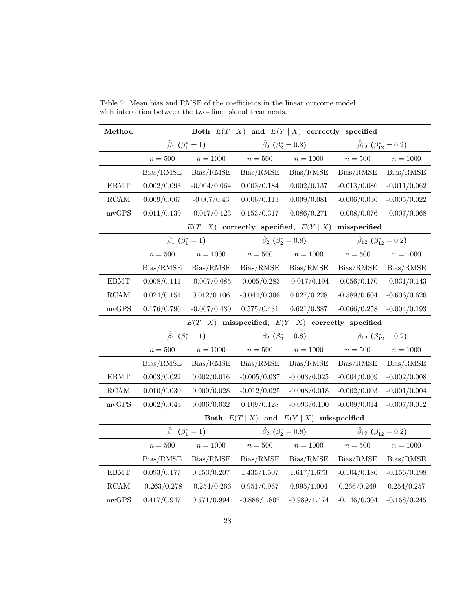| Method<br>Both $E(T   X)$ and $E(Y   X)$ correctly specified |                                     |                |                                       |                |                                           |                |  |
|--------------------------------------------------------------|-------------------------------------|----------------|---------------------------------------|----------------|-------------------------------------------|----------------|--|
|                                                              | $\hat{\beta}_1$ $(\beta_1^* = 1)$   |                | $\hat{\beta}_2$ ( $\beta_2^* = 0.8$ ) |                | $\beta_{12}$ ( $\beta_{12}^* = 0.2$ )     |                |  |
|                                                              | $n = 500$                           | $n=1000$       | $n=500$                               | $n=1000\,$     | $n=500$                                   | $n=1000$       |  |
|                                                              | Bias/RMSE                           | Bias/RMSE      | Bias/RMSE                             | Bias/RMSE      | Bias/RMSE                                 | Bias/RMSE      |  |
| $\operatorname{EBMT}$                                        | 0.002/0.093                         | $-0.004/0.064$ | 0.003/0.184                           | 0.002/0.137    | $-0.013/0.086$                            | $-0.011/0.062$ |  |
| RCAM                                                         | 0.009/0.067                         | $-0.007/0.43$  | 0.006/0.113                           | 0.009/0.081    | $-0.006/0.036$                            | $-0.005/0.022$ |  |
| $\bold{mvGPS}$                                               | 0.011/0.139                         | $-0.017/0.123$ | 0.153/0.317                           | 0.086/0.271    | $-0.008/0.076$                            | $-0.007/0.068$ |  |
| $E(T   X)$ correctly specified, $E(Y   X)$<br>misspecified   |                                     |                |                                       |                |                                           |                |  |
|                                                              | $\hat{\beta}_1$ ( $\beta_1^* = 1$ ) |                | $\hat{\beta}_2$ ( $\beta_2^* = 0.8$ ) |                | $\hat{\beta}_{12}$ $(\beta_{12}^* = 0.2)$ |                |  |
|                                                              | $n=500$                             | $n=1000\,$     | $n=500$                               | $n=1000\,$     | $n=500$                                   | $n=1000\,$     |  |
|                                                              | Bias/RMSE                           | Bias/RMSE      | Bias/RMSE                             | Bias/RMSE      | Bias/RMSE                                 | Bias/RMSE      |  |
| <b>EBMT</b>                                                  | 0.008/0.111                         | $-0.007/0.085$ | $-0.005/0.283$                        | $-0.017/0.194$ | $-0.056/0.170$                            | $-0.031/0.143$ |  |
| RCAM                                                         | 0.024/0.151                         | 0.012/0.106    | $-0.044/0.306$                        | 0.027/0.228    | $-0.589/0.604$                            | $-0.606/0.620$ |  |
| mvGPS                                                        | 0.176/0.796                         | $-0.067/0.430$ | 0.575/0.431                           | 0.621/0.387    | $-0.066/0.258$                            | $-0.004/0.193$ |  |
| $E(T   X)$ misspecified, $E(Y   X)$ correctly specified      |                                     |                |                                       |                |                                           |                |  |
|                                                              | $\hat{\beta}_1$ ( $\beta_1^* = 1$ ) |                | $\hat{\beta}_2$ ( $\beta_2^* = 0.8$ ) |                | $\hat{\beta}_{12}$ $(\beta_{12}^* = 0.2)$ |                |  |
|                                                              | $n=500$                             | $n=1000\,$     | $n=500\,$                             | $n=1000\,$     | $n=500\,$                                 | $n=1000\,$     |  |
|                                                              | Bias/RMSE                           | Bias/RMSE      | Bias/RMSE                             | Bias/RMSE      | Bias/RMSE                                 | Bias/RMSE      |  |
| $\operatorname{EBMT}$                                        | 0.003/0.022                         | 0.002/0.016    | $-0.005/0.037$                        | $-0.003/0.025$ | $-0.004/0.009$                            | $-0.002/0.008$ |  |
| $\operatorname{RCAM}$                                        | 0.010/0.030                         | 0.009/0.028    | $-0.012/0.025$                        | $-0.008/0.018$ | $-0.002/0.003$                            | $-0.001/0.004$ |  |
| $\bold{mvGPS}$                                               | 0.002/0.043                         | 0.006/0.032    | 0.109/0.128                           | $-0.093/0.100$ | $-0.009/0.014$                            | $-0.007/0.012$ |  |
| Both $E(T   X)$<br>and $E(Y   X)$ misspecified               |                                     |                |                                       |                |                                           |                |  |
|                                                              | $\hat{\beta}_1$ ( $\beta_1^* = 1$ ) |                | $\hat{\beta}_2$ ( $\beta_2^* = 0.8$ ) |                | $\beta_{12}$ ( $\beta_{12}^* = 0.2$ )     |                |  |
|                                                              | $n = 500$                           | $n=1000$       | $n=500$                               | $n = 1000$     | $n=500$                                   | $n=1000$       |  |
|                                                              | Bias/RMSE                           | Bias/RMSE      | Bias/RMSE                             | Bias/RMSE      | Bias/RMSE                                 | Bias/RMSE      |  |
| <b>EBMT</b>                                                  | 0.093/0.177                         | 0.153/0.207    | 1.435/1.507                           | 1.617/1.673    | $-0.104/0.186$                            | $-0.156/0.198$ |  |
| $\operatorname{RCAM}$                                        | $-0.263/0.278$                      | $-0.254/0.266$ | 0.951/0.967                           | 0.995/1.004    | 0.266/0.269                               | 0.254/0.257    |  |
| $\bold{mvGPS}$                                               | 0.417/0.947                         | 0.571/0.994    | $-0.888/1.807$                        | $-0.989/1.474$ | $-0.146/0.304$                            | $-0.168/0.245$ |  |

Table 2: Mean bias and RMSE of the coefficients in the linear outcome model with interaction between the two-dimensional treatments.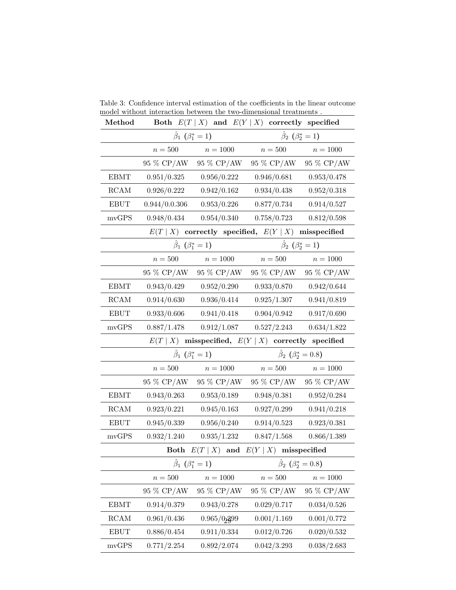| Method                                                   |                                     |                                            | Both $E(T   X)$ and $E(Y   X)$ correctly specified |                                     |  |  |
|----------------------------------------------------------|-------------------------------------|--------------------------------------------|----------------------------------------------------|-------------------------------------|--|--|
|                                                          |                                     | $\hat{\beta}_1$ ( $\beta_1^* = 1$ )        | $\hat{\beta}_2$ ( $\beta_2^* = 1$ )                |                                     |  |  |
|                                                          | $n=500$                             | $n = 1000$                                 | $n=500\,$                                          | $n = 1000$                          |  |  |
|                                                          | 95 % CP/AW                          | 95 % CP/AW                                 | 95 % CP/AW                                         | 95 % CP/AW                          |  |  |
| <b>EBMT</b>                                              | 0.951/0.325                         | 0.956/0.222                                | 0.946/0.681                                        | 0.953/0.478                         |  |  |
| $\operatorname{RCAM}$                                    | 0.926/0.222                         | 0.942/0.162                                | 0.934/0.438                                        | 0.952/0.318                         |  |  |
| <b>EBUT</b>                                              | 0.944/0.0.306                       | 0.953/0.226                                | 0.877/0.734                                        | 0.914/0.527                         |  |  |
| mvGPS                                                    | 0.948/0.434                         | 0.954/0.340                                | 0.758/0.723                                        | 0.812/0.598                         |  |  |
|                                                          |                                     | $E(T   X)$ correctly specified, $E(Y   X)$ |                                                    | misspecified                        |  |  |
|                                                          |                                     | $\hat{\beta}_1$ ( $\beta_1^* = 1$ )        |                                                    | $\hat{\beta}_2$ ( $\beta_2^* = 1$ ) |  |  |
|                                                          | $n=500$                             | $n = 1000$                                 | $n=500\,$                                          | $n = 1000$                          |  |  |
|                                                          | 95 % CP/AW                          | 95 % CP/AW                                 | 95 % CP/AW                                         | 95 % CP/AW                          |  |  |
| <b>EBMT</b>                                              | 0.943/0.429                         | 0.952/0.290                                | 0.933/0.870                                        | 0.942/0.644                         |  |  |
| RCAM                                                     | 0.914/0.630                         | 0.936/0.414                                | 0.925/1.307                                        | 0.941/0.819                         |  |  |
| <b>EBUT</b>                                              | 0.933/0.606                         | 0.941/0.418                                | 0.904/0.942                                        | 0.917/0.690                         |  |  |
| mvGPS                                                    | 0.887/1.478                         | 0.912/1.087                                | 0.527/2.243                                        | 0.634/1.822                         |  |  |
| misspecified, $E(Y   X)$ correctly specified<br>E(T   X) |                                     |                                            |                                                    |                                     |  |  |
|                                                          | $\hat{\beta}_1$ ( $\beta_1^* = 1$ ) |                                            | $\hat{\beta}_2$ ( $\beta_2^* = 0.8$ )              |                                     |  |  |
|                                                          | $n=500$                             | $n = 1000$                                 | $n=500$                                            | $n=1000\,$                          |  |  |
|                                                          | 95 % CP/AW                          | 95 % CP/AW                                 | 95 % CP/AW                                         | 95 % CP/AW                          |  |  |
| <b>EBMT</b>                                              | 0.943/0.263                         | 0.953/0.189                                | 0.948/0.381                                        | 0.952/0.284                         |  |  |
| RCAM                                                     | 0.923/0.221                         | 0.945/0.163                                | 0.927/0.299                                        | 0.941/0.218                         |  |  |
| <b>EBUT</b>                                              | 0.945/0.339                         | 0.956/0.240                                | 0.914/0.523                                        | 0.923/0.381                         |  |  |
| mvGPS                                                    | 0.932/1.240                         | 0.935/1.232                                | 0.847/1.568                                        | 0.866/1.389                         |  |  |
|                                                          | Both                                |                                            | $E(T   X)$ and $E(Y   X)$ misspecified             |                                     |  |  |
|                                                          |                                     |                                            |                                                    |                                     |  |  |
|                                                          | $\hat{\beta}_1$ $(\beta_1^* = 1)$   |                                            |                                                    | $\beta_2$ ( $\beta_2^* = 0.8$ )     |  |  |
|                                                          | $n=500\,$                           | $n = 1000$                                 | $n=500\,$                                          | $n = 1000$                          |  |  |
|                                                          | 95 % CP/AW                          | $95\ \%$ CP/AW                             | 95 % CP/AW                                         | 95 % CP/AW                          |  |  |
| <b>EBMT</b>                                              | 0.914/0.379                         | 0.943/0.278                                | 0.029/0.717                                        | 0.034/0.526                         |  |  |
| RCAM                                                     | 0.961/0.436                         | 0.965/0.399                                | 0.001/1.169                                        | 0.001/0.772                         |  |  |
| <b>EBUT</b>                                              | 0.886/0.454                         | 0.911/0.334                                | 0.012/0.726                                        | 0.020/0.532                         |  |  |

Table 3: Confidence interval estimation of the coefficients in the linear outcome model without interaction between the two-dimensional treatments .